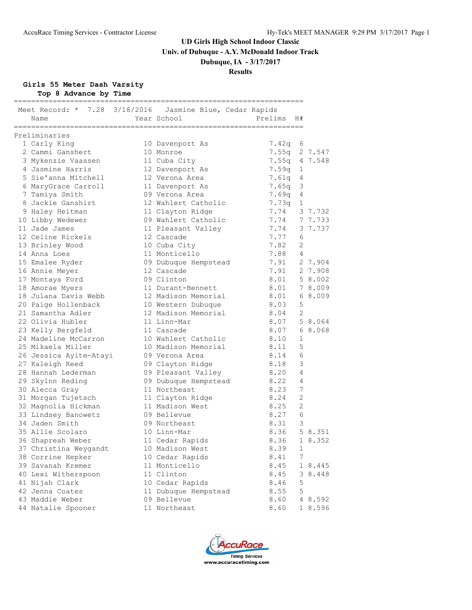**Univ. of Dubuque - A.Y. McDonald Indoor Track**

**Dubuque, IA - 3/17/2017**

### **Results**

**Girls 55 Meter Dash Varsity**

| Meet Record: * 7.28 3/18/2016 Jasmine Blue, Cedar Rapids<br>Year School<br>Prelims<br>H#<br>Name<br>===================<br>Preliminaries<br>1 Carly King<br>$7.42q$ 6<br>10 Davenport As<br>2 Cammi Ganshert<br>7.55q 2 7.547<br>10 Monroe<br>7.55q 4 7.548<br>3 Mykenzie Vaassen<br>11 Cuba City<br>4 Jasmine Harris<br>12 Davenport As<br>7.59q<br>1<br>5 Sie'anna Mitchell<br>12 Verona Area<br>7.61q<br>4<br>3<br>6 MaryGrace Carroll<br>7.65q<br>11 Davenport As<br>4<br>7 Tamiya Smith<br>09 Verona Area<br>7.69q<br>12 Wahlert Catholic<br>7.73q<br>8 Jackie Ganshirt<br>1<br>7.74<br>3 7.732<br>9 Haley Heitman<br>11 Clayton Ridge<br>09 Wahlert Catholic<br>7.74<br>7 7.733<br>10 Libby Wedewer<br>11 Jade James<br>7.74<br>11 Pleasant Valley<br>3 7.737<br>12 Celine Rickels<br>7.77<br>12 Cascade<br>6<br>2<br>7.82<br>13 Brinley Wood<br>10 Cuba City<br>7.88<br>14 Anna Loes<br>11 Monticello<br>4<br>7.91<br>2 7.904<br>15 Emalee Ryder<br>09 Dubuque Hempstead<br>12 Cascade<br>7.91<br>2 7.908<br>16 Annie Meyer<br>09 Clinton<br>8.01<br>17 Montaya Ford<br>5 8.002<br>8.01<br>18 Amorae Myers<br>11 Durant-Bennett<br>7 8.009<br>8.01<br>68.009<br>18 Julana Davis Webb<br>12 Madison Memorial<br>5<br>20 Paige Hollenback<br>10 Western Dubuque<br>8.03<br>12 Madison Memorial<br>8.04<br>21 Samantha Adler<br>2<br>11 Linn-Mar<br>8.07<br>5 8.064<br>22 Olivia Hubler<br>8.07<br>68.068<br>23 Kelly Bergfeld<br>11 Cascade<br>24 Madeline McCarron<br>10 Wahlert Catholic<br>8.10<br>1<br>5<br>25 Mikaela Miller<br>10 Madison Memorial<br>8.11<br>8.14<br>6<br>26 Jessica Ayite-Atayi<br>09 Verona Area<br>3<br>27 Kaleigh Reed<br>09 Clayton Ridge<br>8.18<br>28 Hannah Lederman<br>8.20<br>09 Pleasant Valley<br>4<br>29 Skylnn Reding<br>09 Dubuque Hempstead<br>8.22<br>4<br>7<br>8.23<br>30 Alecca Gray<br>11 Northeast<br>2<br>8.24<br>31 Morgan Tujetsch<br>11 Clayton Ridge<br>2<br>32 Magnolia Hickman<br>8.25<br>11 Madison West<br>8.27<br>6<br>33 Lindsey Banowetz<br>09 Bellevue<br>3<br>34 Jaden Smith<br>09 Northeast<br>8.31<br>5 8.351<br>8.36<br>35 Allie Scolaro<br>10 Linn-Mar<br>36 Shapreah Weber<br>8.36<br>1 8.352<br>11 Cedar Rapids<br>8.39<br>37 Christina Weygandt<br>10 Madison West<br>1<br>38 Corrine Hepker<br>10 Cedar Rapids<br>7<br>8.41<br>39 Savanah Kremer<br>11 Monticello<br>8.45<br>1 8.445<br>11 Clinton<br>8.45<br>40 Lexi Witherspoon<br>3 8.448<br>10 Cedar Rapids<br>8.46<br>5<br>41 Nijah Clark<br>5<br>42 Jenna Coates<br>11 Dubuque Hempstead<br>8.55<br>43 Maddie Weber<br>09 Bellevue<br>8.60<br>4 8.592<br>8.60<br>1 8.596<br>44 Natalie Spooner<br>11 Northeast | Top 8 Advance by Time |  |  |  |  |  |  |  |  |
|---------------------------------------------------------------------------------------------------------------------------------------------------------------------------------------------------------------------------------------------------------------------------------------------------------------------------------------------------------------------------------------------------------------------------------------------------------------------------------------------------------------------------------------------------------------------------------------------------------------------------------------------------------------------------------------------------------------------------------------------------------------------------------------------------------------------------------------------------------------------------------------------------------------------------------------------------------------------------------------------------------------------------------------------------------------------------------------------------------------------------------------------------------------------------------------------------------------------------------------------------------------------------------------------------------------------------------------------------------------------------------------------------------------------------------------------------------------------------------------------------------------------------------------------------------------------------------------------------------------------------------------------------------------------------------------------------------------------------------------------------------------------------------------------------------------------------------------------------------------------------------------------------------------------------------------------------------------------------------------------------------------------------------------------------------------------------------------------------------------------------------------------------------------------------------------------------------------------------------------------------------------------------------------------------------------------------------------------------------------------------------------------------------------------------------------------------------------------------------------------------------------------------------------------------------------------------------------------------------------------------------------------|-----------------------|--|--|--|--|--|--|--|--|
|                                                                                                                                                                                                                                                                                                                                                                                                                                                                                                                                                                                                                                                                                                                                                                                                                                                                                                                                                                                                                                                                                                                                                                                                                                                                                                                                                                                                                                                                                                                                                                                                                                                                                                                                                                                                                                                                                                                                                                                                                                                                                                                                                                                                                                                                                                                                                                                                                                                                                                                                                                                                                                             |                       |  |  |  |  |  |  |  |  |
|                                                                                                                                                                                                                                                                                                                                                                                                                                                                                                                                                                                                                                                                                                                                                                                                                                                                                                                                                                                                                                                                                                                                                                                                                                                                                                                                                                                                                                                                                                                                                                                                                                                                                                                                                                                                                                                                                                                                                                                                                                                                                                                                                                                                                                                                                                                                                                                                                                                                                                                                                                                                                                             |                       |  |  |  |  |  |  |  |  |
|                                                                                                                                                                                                                                                                                                                                                                                                                                                                                                                                                                                                                                                                                                                                                                                                                                                                                                                                                                                                                                                                                                                                                                                                                                                                                                                                                                                                                                                                                                                                                                                                                                                                                                                                                                                                                                                                                                                                                                                                                                                                                                                                                                                                                                                                                                                                                                                                                                                                                                                                                                                                                                             |                       |  |  |  |  |  |  |  |  |
|                                                                                                                                                                                                                                                                                                                                                                                                                                                                                                                                                                                                                                                                                                                                                                                                                                                                                                                                                                                                                                                                                                                                                                                                                                                                                                                                                                                                                                                                                                                                                                                                                                                                                                                                                                                                                                                                                                                                                                                                                                                                                                                                                                                                                                                                                                                                                                                                                                                                                                                                                                                                                                             |                       |  |  |  |  |  |  |  |  |
|                                                                                                                                                                                                                                                                                                                                                                                                                                                                                                                                                                                                                                                                                                                                                                                                                                                                                                                                                                                                                                                                                                                                                                                                                                                                                                                                                                                                                                                                                                                                                                                                                                                                                                                                                                                                                                                                                                                                                                                                                                                                                                                                                                                                                                                                                                                                                                                                                                                                                                                                                                                                                                             |                       |  |  |  |  |  |  |  |  |
|                                                                                                                                                                                                                                                                                                                                                                                                                                                                                                                                                                                                                                                                                                                                                                                                                                                                                                                                                                                                                                                                                                                                                                                                                                                                                                                                                                                                                                                                                                                                                                                                                                                                                                                                                                                                                                                                                                                                                                                                                                                                                                                                                                                                                                                                                                                                                                                                                                                                                                                                                                                                                                             |                       |  |  |  |  |  |  |  |  |
|                                                                                                                                                                                                                                                                                                                                                                                                                                                                                                                                                                                                                                                                                                                                                                                                                                                                                                                                                                                                                                                                                                                                                                                                                                                                                                                                                                                                                                                                                                                                                                                                                                                                                                                                                                                                                                                                                                                                                                                                                                                                                                                                                                                                                                                                                                                                                                                                                                                                                                                                                                                                                                             |                       |  |  |  |  |  |  |  |  |
|                                                                                                                                                                                                                                                                                                                                                                                                                                                                                                                                                                                                                                                                                                                                                                                                                                                                                                                                                                                                                                                                                                                                                                                                                                                                                                                                                                                                                                                                                                                                                                                                                                                                                                                                                                                                                                                                                                                                                                                                                                                                                                                                                                                                                                                                                                                                                                                                                                                                                                                                                                                                                                             |                       |  |  |  |  |  |  |  |  |
|                                                                                                                                                                                                                                                                                                                                                                                                                                                                                                                                                                                                                                                                                                                                                                                                                                                                                                                                                                                                                                                                                                                                                                                                                                                                                                                                                                                                                                                                                                                                                                                                                                                                                                                                                                                                                                                                                                                                                                                                                                                                                                                                                                                                                                                                                                                                                                                                                                                                                                                                                                                                                                             |                       |  |  |  |  |  |  |  |  |
|                                                                                                                                                                                                                                                                                                                                                                                                                                                                                                                                                                                                                                                                                                                                                                                                                                                                                                                                                                                                                                                                                                                                                                                                                                                                                                                                                                                                                                                                                                                                                                                                                                                                                                                                                                                                                                                                                                                                                                                                                                                                                                                                                                                                                                                                                                                                                                                                                                                                                                                                                                                                                                             |                       |  |  |  |  |  |  |  |  |
|                                                                                                                                                                                                                                                                                                                                                                                                                                                                                                                                                                                                                                                                                                                                                                                                                                                                                                                                                                                                                                                                                                                                                                                                                                                                                                                                                                                                                                                                                                                                                                                                                                                                                                                                                                                                                                                                                                                                                                                                                                                                                                                                                                                                                                                                                                                                                                                                                                                                                                                                                                                                                                             |                       |  |  |  |  |  |  |  |  |
|                                                                                                                                                                                                                                                                                                                                                                                                                                                                                                                                                                                                                                                                                                                                                                                                                                                                                                                                                                                                                                                                                                                                                                                                                                                                                                                                                                                                                                                                                                                                                                                                                                                                                                                                                                                                                                                                                                                                                                                                                                                                                                                                                                                                                                                                                                                                                                                                                                                                                                                                                                                                                                             |                       |  |  |  |  |  |  |  |  |
|                                                                                                                                                                                                                                                                                                                                                                                                                                                                                                                                                                                                                                                                                                                                                                                                                                                                                                                                                                                                                                                                                                                                                                                                                                                                                                                                                                                                                                                                                                                                                                                                                                                                                                                                                                                                                                                                                                                                                                                                                                                                                                                                                                                                                                                                                                                                                                                                                                                                                                                                                                                                                                             |                       |  |  |  |  |  |  |  |  |
|                                                                                                                                                                                                                                                                                                                                                                                                                                                                                                                                                                                                                                                                                                                                                                                                                                                                                                                                                                                                                                                                                                                                                                                                                                                                                                                                                                                                                                                                                                                                                                                                                                                                                                                                                                                                                                                                                                                                                                                                                                                                                                                                                                                                                                                                                                                                                                                                                                                                                                                                                                                                                                             |                       |  |  |  |  |  |  |  |  |
|                                                                                                                                                                                                                                                                                                                                                                                                                                                                                                                                                                                                                                                                                                                                                                                                                                                                                                                                                                                                                                                                                                                                                                                                                                                                                                                                                                                                                                                                                                                                                                                                                                                                                                                                                                                                                                                                                                                                                                                                                                                                                                                                                                                                                                                                                                                                                                                                                                                                                                                                                                                                                                             |                       |  |  |  |  |  |  |  |  |
|                                                                                                                                                                                                                                                                                                                                                                                                                                                                                                                                                                                                                                                                                                                                                                                                                                                                                                                                                                                                                                                                                                                                                                                                                                                                                                                                                                                                                                                                                                                                                                                                                                                                                                                                                                                                                                                                                                                                                                                                                                                                                                                                                                                                                                                                                                                                                                                                                                                                                                                                                                                                                                             |                       |  |  |  |  |  |  |  |  |
|                                                                                                                                                                                                                                                                                                                                                                                                                                                                                                                                                                                                                                                                                                                                                                                                                                                                                                                                                                                                                                                                                                                                                                                                                                                                                                                                                                                                                                                                                                                                                                                                                                                                                                                                                                                                                                                                                                                                                                                                                                                                                                                                                                                                                                                                                                                                                                                                                                                                                                                                                                                                                                             |                       |  |  |  |  |  |  |  |  |
|                                                                                                                                                                                                                                                                                                                                                                                                                                                                                                                                                                                                                                                                                                                                                                                                                                                                                                                                                                                                                                                                                                                                                                                                                                                                                                                                                                                                                                                                                                                                                                                                                                                                                                                                                                                                                                                                                                                                                                                                                                                                                                                                                                                                                                                                                                                                                                                                                                                                                                                                                                                                                                             |                       |  |  |  |  |  |  |  |  |
|                                                                                                                                                                                                                                                                                                                                                                                                                                                                                                                                                                                                                                                                                                                                                                                                                                                                                                                                                                                                                                                                                                                                                                                                                                                                                                                                                                                                                                                                                                                                                                                                                                                                                                                                                                                                                                                                                                                                                                                                                                                                                                                                                                                                                                                                                                                                                                                                                                                                                                                                                                                                                                             |                       |  |  |  |  |  |  |  |  |
|                                                                                                                                                                                                                                                                                                                                                                                                                                                                                                                                                                                                                                                                                                                                                                                                                                                                                                                                                                                                                                                                                                                                                                                                                                                                                                                                                                                                                                                                                                                                                                                                                                                                                                                                                                                                                                                                                                                                                                                                                                                                                                                                                                                                                                                                                                                                                                                                                                                                                                                                                                                                                                             |                       |  |  |  |  |  |  |  |  |
|                                                                                                                                                                                                                                                                                                                                                                                                                                                                                                                                                                                                                                                                                                                                                                                                                                                                                                                                                                                                                                                                                                                                                                                                                                                                                                                                                                                                                                                                                                                                                                                                                                                                                                                                                                                                                                                                                                                                                                                                                                                                                                                                                                                                                                                                                                                                                                                                                                                                                                                                                                                                                                             |                       |  |  |  |  |  |  |  |  |
|                                                                                                                                                                                                                                                                                                                                                                                                                                                                                                                                                                                                                                                                                                                                                                                                                                                                                                                                                                                                                                                                                                                                                                                                                                                                                                                                                                                                                                                                                                                                                                                                                                                                                                                                                                                                                                                                                                                                                                                                                                                                                                                                                                                                                                                                                                                                                                                                                                                                                                                                                                                                                                             |                       |  |  |  |  |  |  |  |  |
|                                                                                                                                                                                                                                                                                                                                                                                                                                                                                                                                                                                                                                                                                                                                                                                                                                                                                                                                                                                                                                                                                                                                                                                                                                                                                                                                                                                                                                                                                                                                                                                                                                                                                                                                                                                                                                                                                                                                                                                                                                                                                                                                                                                                                                                                                                                                                                                                                                                                                                                                                                                                                                             |                       |  |  |  |  |  |  |  |  |
|                                                                                                                                                                                                                                                                                                                                                                                                                                                                                                                                                                                                                                                                                                                                                                                                                                                                                                                                                                                                                                                                                                                                                                                                                                                                                                                                                                                                                                                                                                                                                                                                                                                                                                                                                                                                                                                                                                                                                                                                                                                                                                                                                                                                                                                                                                                                                                                                                                                                                                                                                                                                                                             |                       |  |  |  |  |  |  |  |  |
|                                                                                                                                                                                                                                                                                                                                                                                                                                                                                                                                                                                                                                                                                                                                                                                                                                                                                                                                                                                                                                                                                                                                                                                                                                                                                                                                                                                                                                                                                                                                                                                                                                                                                                                                                                                                                                                                                                                                                                                                                                                                                                                                                                                                                                                                                                                                                                                                                                                                                                                                                                                                                                             |                       |  |  |  |  |  |  |  |  |
|                                                                                                                                                                                                                                                                                                                                                                                                                                                                                                                                                                                                                                                                                                                                                                                                                                                                                                                                                                                                                                                                                                                                                                                                                                                                                                                                                                                                                                                                                                                                                                                                                                                                                                                                                                                                                                                                                                                                                                                                                                                                                                                                                                                                                                                                                                                                                                                                                                                                                                                                                                                                                                             |                       |  |  |  |  |  |  |  |  |
|                                                                                                                                                                                                                                                                                                                                                                                                                                                                                                                                                                                                                                                                                                                                                                                                                                                                                                                                                                                                                                                                                                                                                                                                                                                                                                                                                                                                                                                                                                                                                                                                                                                                                                                                                                                                                                                                                                                                                                                                                                                                                                                                                                                                                                                                                                                                                                                                                                                                                                                                                                                                                                             |                       |  |  |  |  |  |  |  |  |
|                                                                                                                                                                                                                                                                                                                                                                                                                                                                                                                                                                                                                                                                                                                                                                                                                                                                                                                                                                                                                                                                                                                                                                                                                                                                                                                                                                                                                                                                                                                                                                                                                                                                                                                                                                                                                                                                                                                                                                                                                                                                                                                                                                                                                                                                                                                                                                                                                                                                                                                                                                                                                                             |                       |  |  |  |  |  |  |  |  |
|                                                                                                                                                                                                                                                                                                                                                                                                                                                                                                                                                                                                                                                                                                                                                                                                                                                                                                                                                                                                                                                                                                                                                                                                                                                                                                                                                                                                                                                                                                                                                                                                                                                                                                                                                                                                                                                                                                                                                                                                                                                                                                                                                                                                                                                                                                                                                                                                                                                                                                                                                                                                                                             |                       |  |  |  |  |  |  |  |  |
|                                                                                                                                                                                                                                                                                                                                                                                                                                                                                                                                                                                                                                                                                                                                                                                                                                                                                                                                                                                                                                                                                                                                                                                                                                                                                                                                                                                                                                                                                                                                                                                                                                                                                                                                                                                                                                                                                                                                                                                                                                                                                                                                                                                                                                                                                                                                                                                                                                                                                                                                                                                                                                             |                       |  |  |  |  |  |  |  |  |
|                                                                                                                                                                                                                                                                                                                                                                                                                                                                                                                                                                                                                                                                                                                                                                                                                                                                                                                                                                                                                                                                                                                                                                                                                                                                                                                                                                                                                                                                                                                                                                                                                                                                                                                                                                                                                                                                                                                                                                                                                                                                                                                                                                                                                                                                                                                                                                                                                                                                                                                                                                                                                                             |                       |  |  |  |  |  |  |  |  |
|                                                                                                                                                                                                                                                                                                                                                                                                                                                                                                                                                                                                                                                                                                                                                                                                                                                                                                                                                                                                                                                                                                                                                                                                                                                                                                                                                                                                                                                                                                                                                                                                                                                                                                                                                                                                                                                                                                                                                                                                                                                                                                                                                                                                                                                                                                                                                                                                                                                                                                                                                                                                                                             |                       |  |  |  |  |  |  |  |  |
|                                                                                                                                                                                                                                                                                                                                                                                                                                                                                                                                                                                                                                                                                                                                                                                                                                                                                                                                                                                                                                                                                                                                                                                                                                                                                                                                                                                                                                                                                                                                                                                                                                                                                                                                                                                                                                                                                                                                                                                                                                                                                                                                                                                                                                                                                                                                                                                                                                                                                                                                                                                                                                             |                       |  |  |  |  |  |  |  |  |
|                                                                                                                                                                                                                                                                                                                                                                                                                                                                                                                                                                                                                                                                                                                                                                                                                                                                                                                                                                                                                                                                                                                                                                                                                                                                                                                                                                                                                                                                                                                                                                                                                                                                                                                                                                                                                                                                                                                                                                                                                                                                                                                                                                                                                                                                                                                                                                                                                                                                                                                                                                                                                                             |                       |  |  |  |  |  |  |  |  |
|                                                                                                                                                                                                                                                                                                                                                                                                                                                                                                                                                                                                                                                                                                                                                                                                                                                                                                                                                                                                                                                                                                                                                                                                                                                                                                                                                                                                                                                                                                                                                                                                                                                                                                                                                                                                                                                                                                                                                                                                                                                                                                                                                                                                                                                                                                                                                                                                                                                                                                                                                                                                                                             |                       |  |  |  |  |  |  |  |  |
|                                                                                                                                                                                                                                                                                                                                                                                                                                                                                                                                                                                                                                                                                                                                                                                                                                                                                                                                                                                                                                                                                                                                                                                                                                                                                                                                                                                                                                                                                                                                                                                                                                                                                                                                                                                                                                                                                                                                                                                                                                                                                                                                                                                                                                                                                                                                                                                                                                                                                                                                                                                                                                             |                       |  |  |  |  |  |  |  |  |
|                                                                                                                                                                                                                                                                                                                                                                                                                                                                                                                                                                                                                                                                                                                                                                                                                                                                                                                                                                                                                                                                                                                                                                                                                                                                                                                                                                                                                                                                                                                                                                                                                                                                                                                                                                                                                                                                                                                                                                                                                                                                                                                                                                                                                                                                                                                                                                                                                                                                                                                                                                                                                                             |                       |  |  |  |  |  |  |  |  |
|                                                                                                                                                                                                                                                                                                                                                                                                                                                                                                                                                                                                                                                                                                                                                                                                                                                                                                                                                                                                                                                                                                                                                                                                                                                                                                                                                                                                                                                                                                                                                                                                                                                                                                                                                                                                                                                                                                                                                                                                                                                                                                                                                                                                                                                                                                                                                                                                                                                                                                                                                                                                                                             |                       |  |  |  |  |  |  |  |  |
|                                                                                                                                                                                                                                                                                                                                                                                                                                                                                                                                                                                                                                                                                                                                                                                                                                                                                                                                                                                                                                                                                                                                                                                                                                                                                                                                                                                                                                                                                                                                                                                                                                                                                                                                                                                                                                                                                                                                                                                                                                                                                                                                                                                                                                                                                                                                                                                                                                                                                                                                                                                                                                             |                       |  |  |  |  |  |  |  |  |
|                                                                                                                                                                                                                                                                                                                                                                                                                                                                                                                                                                                                                                                                                                                                                                                                                                                                                                                                                                                                                                                                                                                                                                                                                                                                                                                                                                                                                                                                                                                                                                                                                                                                                                                                                                                                                                                                                                                                                                                                                                                                                                                                                                                                                                                                                                                                                                                                                                                                                                                                                                                                                                             |                       |  |  |  |  |  |  |  |  |
|                                                                                                                                                                                                                                                                                                                                                                                                                                                                                                                                                                                                                                                                                                                                                                                                                                                                                                                                                                                                                                                                                                                                                                                                                                                                                                                                                                                                                                                                                                                                                                                                                                                                                                                                                                                                                                                                                                                                                                                                                                                                                                                                                                                                                                                                                                                                                                                                                                                                                                                                                                                                                                             |                       |  |  |  |  |  |  |  |  |
|                                                                                                                                                                                                                                                                                                                                                                                                                                                                                                                                                                                                                                                                                                                                                                                                                                                                                                                                                                                                                                                                                                                                                                                                                                                                                                                                                                                                                                                                                                                                                                                                                                                                                                                                                                                                                                                                                                                                                                                                                                                                                                                                                                                                                                                                                                                                                                                                                                                                                                                                                                                                                                             |                       |  |  |  |  |  |  |  |  |
|                                                                                                                                                                                                                                                                                                                                                                                                                                                                                                                                                                                                                                                                                                                                                                                                                                                                                                                                                                                                                                                                                                                                                                                                                                                                                                                                                                                                                                                                                                                                                                                                                                                                                                                                                                                                                                                                                                                                                                                                                                                                                                                                                                                                                                                                                                                                                                                                                                                                                                                                                                                                                                             |                       |  |  |  |  |  |  |  |  |
|                                                                                                                                                                                                                                                                                                                                                                                                                                                                                                                                                                                                                                                                                                                                                                                                                                                                                                                                                                                                                                                                                                                                                                                                                                                                                                                                                                                                                                                                                                                                                                                                                                                                                                                                                                                                                                                                                                                                                                                                                                                                                                                                                                                                                                                                                                                                                                                                                                                                                                                                                                                                                                             |                       |  |  |  |  |  |  |  |  |
|                                                                                                                                                                                                                                                                                                                                                                                                                                                                                                                                                                                                                                                                                                                                                                                                                                                                                                                                                                                                                                                                                                                                                                                                                                                                                                                                                                                                                                                                                                                                                                                                                                                                                                                                                                                                                                                                                                                                                                                                                                                                                                                                                                                                                                                                                                                                                                                                                                                                                                                                                                                                                                             |                       |  |  |  |  |  |  |  |  |
|                                                                                                                                                                                                                                                                                                                                                                                                                                                                                                                                                                                                                                                                                                                                                                                                                                                                                                                                                                                                                                                                                                                                                                                                                                                                                                                                                                                                                                                                                                                                                                                                                                                                                                                                                                                                                                                                                                                                                                                                                                                                                                                                                                                                                                                                                                                                                                                                                                                                                                                                                                                                                                             |                       |  |  |  |  |  |  |  |  |
|                                                                                                                                                                                                                                                                                                                                                                                                                                                                                                                                                                                                                                                                                                                                                                                                                                                                                                                                                                                                                                                                                                                                                                                                                                                                                                                                                                                                                                                                                                                                                                                                                                                                                                                                                                                                                                                                                                                                                                                                                                                                                                                                                                                                                                                                                                                                                                                                                                                                                                                                                                                                                                             |                       |  |  |  |  |  |  |  |  |

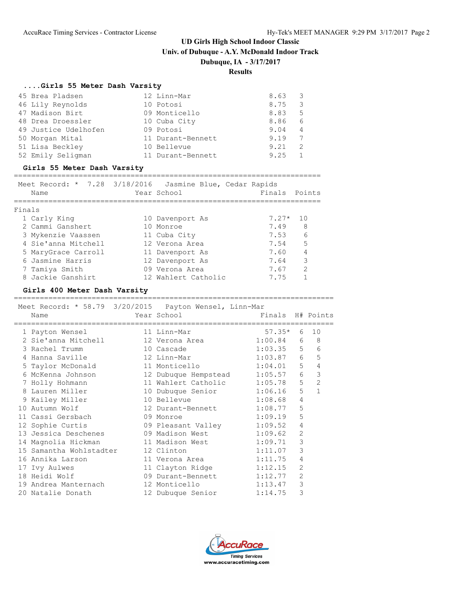**Univ. of Dubuque - A.Y. McDonald Indoor Track**

#### **Dubuque, IA - 3/17/2017**

**Results**

#### **....Girls 55 Meter Dash Varsity**

| 45 Brea Pladsen      | 12 Linn-Mar       | 8.63 | - 3 |
|----------------------|-------------------|------|-----|
| 46 Lily Reynolds     | 10 Potosi         | 8.75 | -3  |
| 47 Madison Birt      | 09 Monticello     | 8.83 | - 5 |
| 48 Drea Droessler    | 10 Cuba City      | 8.86 | -6  |
| 49 Justice Udelhofen | 09 Potosi         | 9.04 | 4   |
| 50 Morgan Mital      | 11 Durant-Bennett | 9.19 | 7   |
| 51 Lisa Beckley      | 10 Bellevue       | 9.21 | -2  |
| 52 Emily Seligman    | 11 Durant-Bennett | 9.25 |     |

#### **Girls 55 Meter Dash Varsity**

|                              |  |                             | Meet Record: * 7.28 3/18/2016 Jasmine Blue, Cedar Rapids |  |                  |                |                         |
|------------------------------|--|-----------------------------|----------------------------------------------------------|--|------------------|----------------|-------------------------|
| Name                         |  |                             | Year School                                              |  | Finals Points    |                |                         |
|                              |  |                             |                                                          |  |                  |                |                         |
| Finals                       |  |                             |                                                          |  |                  |                |                         |
| 1 Carly King                 |  |                             | 10 Davenport As                                          |  | $7.27*$          | 10             |                         |
| 2 Cammi Ganshert             |  |                             | 10 Monroe                                                |  | 7.49             | 8              |                         |
| 3 Mykenzie Vaassen           |  |                             | 11 Cuba City                                             |  | 7.53             | 6              |                         |
| 4 Sie'anna Mitchell          |  |                             | 12 Verona Area                                           |  | 7.54             |                | 5                       |
| 5 MaryGrace Carroll          |  |                             | 11 Davenport As                                          |  | 7.60             |                | $\overline{4}$          |
| 6 Jasmine Harris             |  |                             | 12 Davenport As                                          |  | 7.64             |                | 3                       |
| 7 Tamiya Smith               |  |                             | 09 Verona Area                                           |  | 7.67             | $\overline{2}$ |                         |
| 8 Jackie Ganshirt            |  |                             | 12 Wahlert Catholic                                      |  | 7.75             | $\mathbf{1}$   |                         |
| Girls 400 Meter Dash Varsity |  | --------------------------- |                                                          |  |                  |                |                         |
|                              |  |                             | Meet Record: * 58.79 3/20/2015 Payton Wensel, Linn-Mar   |  |                  |                |                         |
| Name                         |  |                             | Year School                                              |  | Finals H# Points |                |                         |
| 1 Payton Wensel              |  |                             | 11 Linn-Mar                                              |  | $57.35*$         |                | 6 10                    |
|                              |  |                             | 2 Sie'anna Mitchell 12 Verona Area                       |  | 1:00.84          |                | 6 8                     |
| 3 Rachel Trumm               |  |                             | 10 Cascade                                               |  | $1:03.35$ 5      |                | 6                       |
| 4 Hanna Saville              |  |                             | 12 Linn-Mar                                              |  | $1:03.87$ 6 5    |                |                         |
| 5 Taylor McDonald            |  |                             | 11 Monticello                                            |  | 1:04.01          |                | $\overline{4}$<br>$5 -$ |
| 6 McKenna Johnson            |  |                             | 12 Dubuque Hempstead 1:05.57                             |  |                  |                | 3<br>6                  |
| 7 Holly Hohmann              |  |                             | 11 Wahlert Catholic 1:05.78                              |  |                  | $\overline{5}$ | $\overline{2}$          |
| 8 Lauren Miller              |  |                             | 10 Dubuque Senior                                        |  | 1:06.16          | 5              | $\overline{1}$          |
| 9 Kailey Miller              |  |                             | 10 Bellevue                                              |  | 1:08.68          | 4              |                         |

10 Autumn Wolf **12 Durant-Bennett** 1:08.77 5 11 Cassi Gersbach 09 Monroe 1:09.19 5 12 Sophie Curtis 09 Pleasant Valley 1:09.52 4 13 Jessica Deschenes 09 Madison West 1:09.62 2 14 Magnolia Hickman 11 Madison West 1:09.71 3 15 Samantha Wohlstadter 12 Clinton 11:11.07 3 16 Annika Larson 11 Verona Area 1:11.75 4 17 Ivy Aulwes 11 Clayton Ridge 1:12.15 2 18 Heidi Wolf 09 Durant-Bennett 1:12.77 2 19 Andrea Manternach 12 Monticello 1:13.47 3 20 Natalie Donath 12 Dubuque Senior 1:14.75 3

> ccuRace **Timing Services** www.accuracetiming.com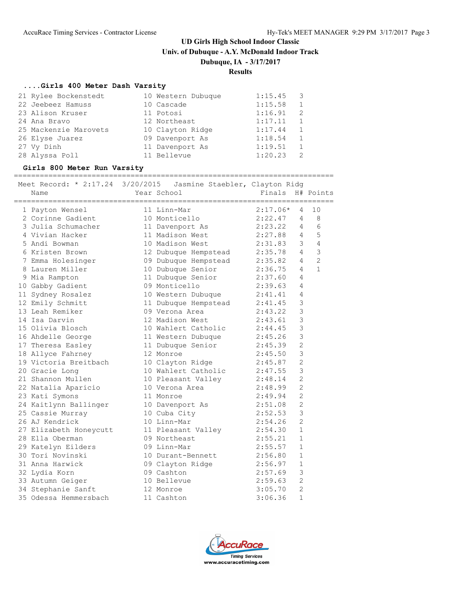**Univ. of Dubuque - A.Y. McDonald Indoor Track**

#### **Dubuque, IA - 3/17/2017**

#### **Results**

#### **....Girls 400 Meter Dash Varsity**

| 21 Rylee Bockenstedt  | 10 Western Dubuque | 1:15.45 | - 3 |
|-----------------------|--------------------|---------|-----|
| 22 Jeebeez Hamuss     | 10 Cascade         | 1:15.58 |     |
| 23 Alison Kruser      | 11 Potosi          | 1:16.91 | -2  |
| 24 Ana Bravo          | 12 Northeast       | 1:17.11 |     |
| 25 Mackenzie Marovets | 10 Clayton Ridge   | 1:17.44 |     |
| 26 Elyse Juarez       | 09 Davenport As    | 1:18.54 |     |
| 27 Vy Dinh            | 11 Davenport As    | 1:19.51 |     |
| 28 Alyssa Poll        | 11 Bellevue        | 1:20.23 |     |

#### **Girls 800 Meter Run Varsity**

==========================================================================

|                        | Year School                        | Finals H# Points              |                |                |
|------------------------|------------------------------------|-------------------------------|----------------|----------------|
| 1 Payton Wensel        | 11 Linn-Mar                        | $2:17.06*$ 4                  |                | 10             |
| 2 Corinne Gadient      | 10 Monticello                      | $2:22.47$ 4                   |                | 8              |
| 3 Julia Schumacher     | 11 Davenport As<br>11 Madison West | $2:23.22$ 4<br>$2:27.88$ 4    |                | 6              |
| 4 Vivian Hacker        |                                    |                               |                | 5              |
| 5 Andi Bowman          | 10 Madison West                    | 2:31.83 3                     |                | 4              |
| 6 Kristen Brown        | 12 Dubuque Hempstead 2:35.78 4     |                               |                | 3              |
| 7 Emma Holesinger      | 09 Dubuque Hempstead 2:35.82       |                               | $\overline{4}$ | $\overline{2}$ |
| 8 Lauren Miller        | 10 Dubuque Senior 2:36.75          |                               | 4              | $\mathbf{1}$   |
| 9 Mia Rampton          | 11 Dubuque Senior 2:37.60          |                               | 4              |                |
| 10 Gabby Gadient       | 09 Monticello                      | 2:39.63                       | 4              |                |
| 11 Sydney Rosalez      | 10 Western Dubuque 2:41.41         |                               | 4              |                |
| 12 Emily Schmitt       | 11 Dubuque Hempstead 2:41.45       |                               | 3              |                |
| 13 Leah Remiker        | 09 Verona Area 2:43.22             |                               | 3              |                |
| 14 Isa Darvin          | 12 Madison West 2:43.61            |                               | 3              |                |
| 15 Olivia Blosch       | 10 Wahlert Catholic 2:44.45        |                               | 3              |                |
| 16 Ahdelle George      | 11 Western Dubuque 2:45.26         |                               | 3              |                |
| 17 Theresa Easley      | 11 Dubuque Senior 2:45.39          |                               | $\overline{c}$ |                |
| 18 Allyce Fahrney      | 12 Monroe                          | 2:45.50                       | 3              |                |
| 19 Victoria Breitbach  | 10 Clayton Ridge                   | 2:45.87                       | $\overline{c}$ |                |
| 20 Gracie Long         | 10 Wahlert Catholic                | 2:47.55                       | 3              |                |
| 21 Shannon Mullen      | 10 Pleasant Valley 2:48.14         |                               | $\overline{c}$ |                |
| 22 Natalia Aparicio    | 10 Verona Area                     | 2:48.99                       | $\overline{c}$ |                |
| 23 Kati Symons         | 11 Monroe                          | 2:49.94<br>2:51.08<br>2:52.53 | $\overline{c}$ |                |
| 24 Kaitlynn Ballinger  | 10 Davenport As                    |                               | $\overline{c}$ |                |
| 25 Cassie Murray       | 10 Cuba City                       |                               | 3              |                |
| 26 AJ Kendrick         | 10 Linn-Mar                        | 2:54.26                       | $\overline{2}$ |                |
| 27 Elizabeth Honeycutt | 11 Pleasant Valley<br>09 Northeast | 2:54.30                       | $\mathbf{1}$   |                |
| 28 Ella Oberman        |                                    | 2:55.21                       | $\mathbf{1}$   |                |
| 29 Katelyn Eilders     | 09 Linn-Mar                        | 2:55.57                       | $\mathbf{1}$   |                |
| 30 Tori Novinski       | 10 Durant-Bennett 2:56.80          |                               | $\mathbf{1}$   |                |
| 31 Anna Harwick        | 09 Clayton Ridge 2:56.97           |                               | $\mathbf{1}$   |                |
| 32 Lydia Korn          | 09 Cashton                         | 2:57.69                       | 3              |                |
| 33 Autumn Geiger       | 10 Bellevue                        | 2:59.63                       | $\mathfrak{L}$ |                |
| 34 Stephanie Sanft     | 12 Monroe                          | 3:05.70                       | 2              |                |
| 35 Odessa Hemmersbach  | 11 Cashton                         | 3:06.36                       | $\mathbf{1}$   |                |

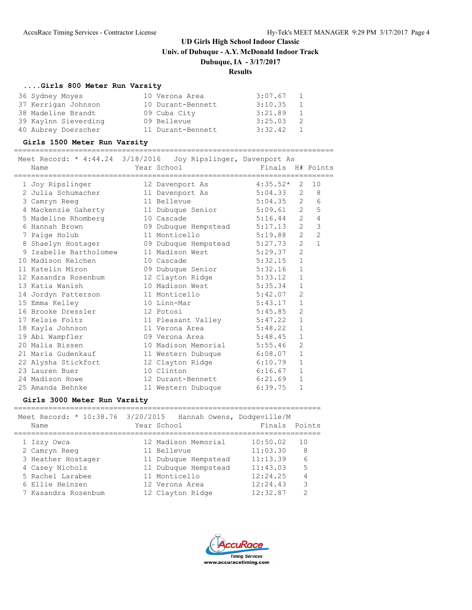## **UD Girls High School Indoor Classic Univ. of Dubuque - A.Y. McDonald Indoor Track**

#### **Dubuque, IA - 3/17/2017**

#### **Results**

#### **....Girls 800 Meter Run Varsity**

| 36 Sydney Moyes      | 10 Verona Area    | 3:07.67 | $\perp$      |
|----------------------|-------------------|---------|--------------|
| 37 Kerrigan Johnson  | 10 Durant-Bennett | 3:10.35 | <sup>1</sup> |
| 38 Madeline Brandt   | 09 Cuba City      | 3:21.89 | -1           |
| 39 Kaylnn Sieverding | 09 Bellevue       | 3:25.03 | -2.          |
| 40 Aubrey Doerscher  | 11 Durant-Bennett | 3:32.42 |              |

==========================================================================

#### **Girls 1500 Meter Run Varsity**

 Meet Record: \* 4:44.24 3/18/2016 Joy Ripslinger, Davenport As Name The Year School Finals H# Points ========================================================================== 1 Joy Ripslinger 12 Davenport As 4:35.52\* 2 10 2 Julia Schumacher 11 Davenport As 5:04.33 2 8 3 Camryn Reeg 11 Bellevue 5:04.35 2 6 4 Mackenzie Gaherty 11 Dubuque Senior 5:09.61 2 5 5 Madeline Rhomberg 10 Cascade 5:16.44 2 4 6 Hannah Brown 09 Dubuque Hempstead 5:17.13 2 3 7 Paige Holub 11 Monticello 5:19.88 2 2 8 Shaelyn Hostager 09 Dubuque Hempstead 5:27.73 2 1 9 Isabelle Bartholomew 11 Madison West 5:29.37 2 10 Madison Kelchen 10 Cascade 5:32.15 1 11 Katelin Miron 09 Dubuque Senior 5:32.16 1 12 Kasandra Rosenbum 12 Clayton Ridge 5:33.12 1 13 Katia Wanish 10 Madison West 5:35.34 1 14 Jordyn Patterson 11 Monticello 5:42.07 2 15 Emma Kelley 10 Linn-Mar 5:43.17 1 16 Brooke Dressler 12 Potosi 5:45.85 2 17 Kelsie Foltz 11 Pleasant Valley 5:47.22 1 18 Kayla Johnson 11 Verona Area 5:48.22 1 19 Abi Wampfler 09 Verona Area 5:48.45 1 20 Malia Bissen 10 Madison Memorial 5:55.46 2 21 Maria Gudenkauf 11 Western Dubuque 6:08.07 1 22 Alysha Stickfort 12 Clayton Ridge 6:10.79 1 23 Lauren Buer 10 Clinton 6:16.67 1 24 Madison Howe 12 Durant-Bennett 6:21.69 1 25 Amanda Behnke 11 Western Dubuque 6:39.75 1

#### **Girls 3000 Meter Run Varsity**

======================================================================= Meet Record: \* 10:38.76 3/20/2015 Hannah Owens, Dodgeville/M Name **Year School Finals** Points ======================================================================= 1 Izzy Owca 12 Madison Memorial 10:50.02 10 2 Camryn Reeg 11 Bellevue 11:03.30 8 3 Heather Hostager 11 Dubuque Hempstead 11:13.39 6 4 Casey Nichols 11 Dubuque Hempstead 11:43.03 5 5 Rachel Larabee 11 Monticello 12:24.25 4 6 Ellie Heinzen 12 Verona Area 12:24.43 3 7 Kasandra Rosenbum 12 Clayton Ridge 12:32.87 2

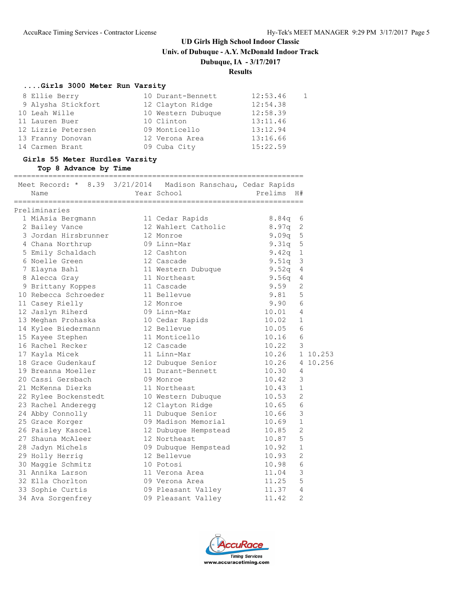**Univ. of Dubuque - A.Y. McDonald Indoor Track**

#### **Dubuque, IA - 3/17/2017**

### **Results**

#### **....Girls 3000 Meter Run Varsity**

| 8 Ellie Berry      | 10 Durant-Bennett  | 12:53.46 |  |
|--------------------|--------------------|----------|--|
| 9 Alysha Stickfort | 12 Clayton Ridge   | 12:54.38 |  |
| 10 Leah Wille      | 10 Western Dubuque | 12:58.39 |  |
| 11 Lauren Buer     | 10 Clinton         | 13:11.46 |  |
| 12 Lizzie Petersen | 09 Monticello      | 13:12.94 |  |
| 13 Franny Donovan  | 12 Verona Area     | 13:16.66 |  |
| 14 Carmen Brant    | 09 Cuba City       | 15:22.59 |  |

#### **Girls 55 Meter Hurdles Varsity**

**Top 8 Advance by Time**

|                      | Meet Record: * 8.39 3/21/2014 Madison Ranschau, Cedar Rapids |            |                |
|----------------------|--------------------------------------------------------------|------------|----------------|
| Name                 | Year School                                                  | Prelims H# |                |
|                      |                                                              |            |                |
| Preliminaries        |                                                              |            |                |
| 1 MiAsia Bergmann    | 11 Cedar Rapids                                              | 8.84q      | 6              |
| 2 Bailey Vance       | 12 Wahlert Catholic                                          | 8.97q      | 2              |
| 3 Jordan Hirsbrunner | 12 Monroe                                                    | 9.09q      | 5              |
| 4 Chana Northrup     | 09 Linn-Mar                                                  | 9.31q      | 5              |
| 5 Emily Schaldach    | 12 Cashton                                                   | 9.42q      | $\mathbf{1}$   |
| 6 Noelle Green       | 12 Cascade                                                   | 9.51q      | 3              |
| 7 Elayna Bahl        | 11 Western Dubuque                                           | 9.52q      | $\overline{4}$ |
| 8 Alecca Gray        | 11 Northeast                                                 | 9.56q      | 4              |
| 9 Brittany Koppes    | 11 Cascade                                                   | 9.59       | $\overline{2}$ |
| 10 Rebecca Schroeder | 11 Bellevue                                                  | 9.81       | 5              |
| 11 Casey Rielly      | 12 Monroe                                                    | 9.90       | 6              |
| 12 Jaslyn Riherd     | 09 Linn-Mar                                                  | 10.01      | 4              |
| 13 Meghan Prohaska   | 10 Cedar Rapids                                              | 10.02      | 1              |
| 14 Kylee Biedermann  | 12 Bellevue                                                  | 10.05      | 6              |
| 15 Kayee Stephen     | 11 Monticello                                                | 10.16      | 6              |
| 16 Rachel Recker     | 12 Cascade                                                   | 10.22      | 3              |
| 17 Kayla Micek       | 11 Linn-Mar                                                  | 10.26      | 1 10.253       |
| 18 Grace Gudenkauf   | 12 Dubuque Senior                                            | 10.26      | 4 10.256       |
| 19 Breanna Moeller   | 11 Durant-Bennett                                            | 10.30      | 4              |
| 20 Cassi Gersbach    | 09 Monroe                                                    | 10.42      | 3              |
| 21 McKenna Dierks    | 11 Northeast                                                 | 10.43      | $\mathbf{1}$   |
| 22 Rylee Bockenstedt | 10 Western Dubuque                                           | 10.53      | $\overline{2}$ |
| 23 Rachel Anderegg   | 12 Clayton Ridge                                             | 10.65      | 6              |
| 24 Abby Connolly     | 11 Dubuque Senior                                            | 10.66      | 3              |
| 25 Grace Korger      | 09 Madison Memorial 10.69                                    |            | $\mathbf{1}$   |
| 26 Paisley Kascel    | 12 Dubuque Hempstead 10.85                                   |            | $\overline{2}$ |
| 27 Shauna McAleer    | 12 Northeast                                                 | 10.87      | 5              |
| 28 Jadyn Michels     | 09 Dubuque Hempstead 10.92                                   |            | $\mathbf{1}$   |
| 29 Holly Herrig      | 12 Bellevue                                                  | 10.93      | $\overline{2}$ |
| 30 Maggie Schmitz    | 10 Potosi                                                    | 10.98      | 6              |
| 31 Annika Larson     | 11 Verona Area                                               | 11.04      | 3              |
| 32 Ella Chorlton     | 09 Verona Area                                               | 11.25      | 5              |
| 33 Sophie Curtis     | 09 Pleasant Valley                                           | 11.37      | $\overline{4}$ |
| 34 Ava Sorgenfrey    | 09 Pleasant Valley                                           | 11.42      | $\overline{2}$ |

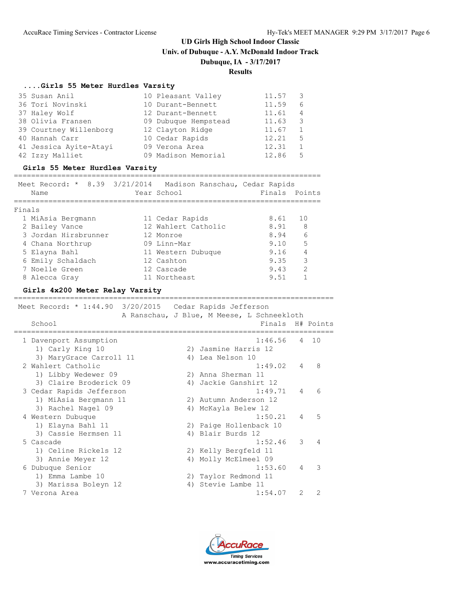## **UD Girls High School Indoor Classic Univ. of Dubuque - A.Y. McDonald Indoor Track Dubuque, IA - 3/17/2017**

#### **Results**

## **....Girls 55 Meter Hurdles Varsity**

| 35 Susan Anil          | 10 Pleasant Valley   | 11.57 | -3             |
|------------------------|----------------------|-------|----------------|
| 36 Tori Novinski       | 10 Durant-Bennett    | 11.59 | 6              |
| 37 Haley Wolf          | 12 Durant-Bennett    | 11.61 | $\overline{4}$ |
| 38 Olivia Fransen      | 09 Dubuque Hempstead | 11.63 | - 3            |
| 39 Courtney Willenborg | 12 Clayton Ridge     | 11.67 |                |
| 40 Hannah Carr         | 10 Cedar Rapids      | 12.21 | -5             |
| 41 Jessica Ayite-Atayi | 09 Verona Area       | 12.31 |                |
| 42 Izzy Malliet        | 09 Madison Memorial  | 12.86 | 5              |

#### **Girls 55 Meter Hurdles Varsity**

|        | Name                 | Meet Record: * 8.39 3/21/2014 Madison Ranschau, Cedar Rapids<br>Year School | Finals Points |               |
|--------|----------------------|-----------------------------------------------------------------------------|---------------|---------------|
| Finals |                      |                                                                             |               |               |
|        | 1 MiAsia Bergmann    | 11 Cedar Rapids                                                             | 8.61          | 10            |
|        | 2 Bailey Vance       | 12 Wahlert Catholic                                                         | 8.91          | 8             |
|        | 3 Jordan Hirsbrunner | 12 Monroe                                                                   | 8.94          | 6             |
|        | 4 Chana Northrup     | 09 Linn-Mar                                                                 | 9.10          | 5             |
|        | 5 Elayna Bahl        | 11 Western Dubuque                                                          | 9.16          | 4             |
|        | 6 Emily Schaldach    | 12 Cashton                                                                  | 9.35          | 3             |
|        | 7 Noelle Green       | 12 Cascade                                                                  | 9.43          | $\mathcal{D}$ |
|        | 8 Alecca Gray        | 11 Northeast                                                                | 9.51          |               |

#### **Girls 4x200 Meter Relay Varsity**

| Meet Record: * 1:44.90 3/20/2015 | Cedar Rapids Jefferson<br>A Ranschau, J Blue, M Meese, L Schneekloth |
|----------------------------------|----------------------------------------------------------------------|
| School                           | Finals H# Points                                                     |
| 1 Davenport Assumption           | 1:46.56<br>1 N<br>4                                                  |
| 1) Carly King 10                 | 2) Jasmine Harris 12                                                 |
| 3) MaryGrace Carroll 11          | 4) Lea Nelson 10                                                     |
| 2 Wahlert Catholic               | 1:49.02<br>8<br>4                                                    |
| 1) Libby Wedewer 09              | 2) Anna Sherman 11                                                   |
| 3) Claire Broderick 09           | Jackie Ganshirt 12<br>4)                                             |
| 3 Cedar Rapids Jefferson         | 1:49.71<br>$6\overline{6}$<br>4                                      |
| 1) MiAsia Bergmann 11            | 2) Autumn Anderson 12                                                |
| 3) Rachel Nagel 09               | 4) McKayla Belew 12                                                  |
| 4 Western Dubuque                | 1:50.21<br>$-5$<br>$\overline{a}$                                    |
| 1) Elayna Bahl 11                | 2) Paige Hollenback 10                                               |
| 3) Cassie Hermsen 11             | 4) Blair Burds 12                                                    |
| 5 Cascade                        | 1:52.46<br>3<br>4                                                    |
| 1) Celine Rickels 12             | 2) Kelly Bergfeld 11                                                 |
| 3) Annie Meyer 12                | 4) Molly McElmeel 09                                                 |
| 6 Dubuque Senior                 | 3<br>1:53.60<br>4                                                    |
| 1) Emma Lambe 10                 | 2) Taylor Redmond 11                                                 |
| 3) Marissa Boleyn 12             | Stevie Lambe 11<br>4)                                                |
| 7 Verona Area                    | $\mathcal{D}$<br>1:54.07<br>$\mathcal{L}$                            |
|                                  |                                                                      |

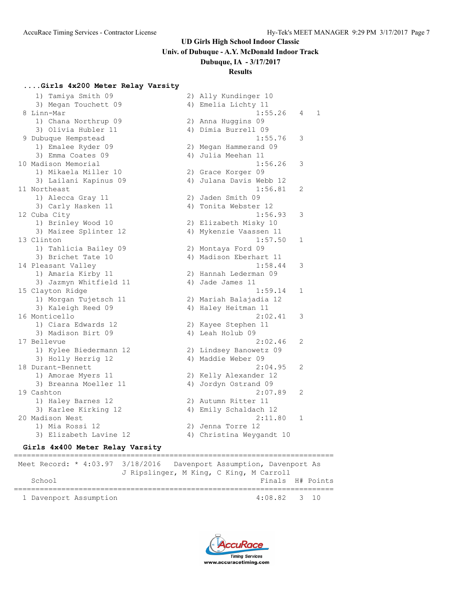**Univ. of Dubuque - A.Y. McDonald Indoor Track**

## **Dubuque, IA - 3/17/2017**

#### **Results**

#### **....Girls 4x200 Meter Relay Varsity**

| 1) Tamiya Smith 09     | 2) Ally Kundinger 10     |              |              |
|------------------------|--------------------------|--------------|--------------|
| 3) Megan Touchett 09   | 4) Emelia Lichty 11      |              |              |
| 8 Linn-Mar             | 1:55.26                  | 4            | $\mathbf{1}$ |
| 1) Chana Northrup 09   | 2) Anna Huggins 09       |              |              |
| 3) Olivia Hubler 11    | 4) Dimia Burrell 09      |              |              |
| 9 Dubuque Hempstead    | 1:55.76                  | 3            |              |
| 1) Emalee Ryder 09     | 2) Megan Hammerand 09    |              |              |
| 3) Emma Coates 09      | 4) Julia Meehan 11       |              |              |
| 10 Madison Memorial    | 1:56.26                  | 3            |              |
| 1) Mikaela Miller 10   | 2) Grace Korger 09       |              |              |
| 3) Lailani Kapinus 09  | 4) Julana Davis Webb 12  |              |              |
| 11 Northeast           | 1:56.81                  | 2            |              |
| 1) Alecca Gray 11      | 2) Jaden Smith 09        |              |              |
| 3) Carly Hasken 11     | 4) Tonita Webster 12     |              |              |
| 12 Cuba City           | 1:56.93                  | 3            |              |
| 1) Brinley Wood 10     | 2) Elizabeth Misky 10    |              |              |
| 3) Maizee Splinter 12  | 4) Mykenzie Vaassen 11   |              |              |
| 13 Clinton             | 1:57.50                  | 1            |              |
| 1) Tahlicia Bailey 09  | 2) Montaya Ford 09       |              |              |
| 3) Brichet Tate 10     | 4) Madison Eberhart 11   |              |              |
| 14 Pleasant Valley     | 1:58.44                  | 3            |              |
| 1) Amaria Kirby 11     | 2) Hannah Lederman 09    |              |              |
| 3) Jazmyn Whitfield 11 | 4) Jade James 11         |              |              |
| 15 Clayton Ridge       | 1:59.14                  | $\mathbf{1}$ |              |
| 1) Morgan Tujetsch 11  | 2) Mariah Balajadia 12   |              |              |
| 3) Kaleigh Reed 09     | 4) Haley Heitman 11      |              |              |
| 16 Monticello          | 2:02.41                  | 3            |              |
| 1) Ciara Edwards 12    | 2) Kayee Stephen 11      |              |              |
| 3) Madison Birt 09     | 4) Leah Holub 09         |              |              |
| 17 Bellevue            | 2:02.46                  | 2            |              |
| 1) Kylee Biedermann 12 | 2) Lindsey Banowetz 09   |              |              |
| 3) Holly Herrig 12     | 4) Maddie Weber 09       |              |              |
| 18 Durant-Bennett      | 2:04.95                  | 2            |              |
| 1) Amorae Myers 11     | 2) Kelly Alexander 12    |              |              |
| 3) Breanna Moeller 11  | 4) Jordyn Ostrand 09     |              |              |
| 19 Cashton             | 2:07.89                  | 2            |              |
| 1) Haley Barnes 12     | 2) Autumn Ritter 11      |              |              |
| 3) Karlee Kirking 12   | 4) Emily Schaldach 12    |              |              |
| 20 Madison West        | 2:11.80                  | $\mathbf{1}$ |              |
| 1) Mia Rossi 12        | 2) Jenna Torre 12        |              |              |
| 3) Elizabeth Lavine 12 | 4) Christina Weygandt 10 |              |              |
|                        |                          |              |              |

#### **Girls 4x400 Meter Relay Varsity**

|                        | Meet Record: * 4:03.97 3/18/2016 Davenport Assumption, Davenport As<br>J Ripslinger, M King, C King, M Carroll |                  |  |
|------------------------|----------------------------------------------------------------------------------------------------------------|------------------|--|
| School                 |                                                                                                                | Finals H# Points |  |
| 1 Davenport Assumption |                                                                                                                | $4:08.82$ 3 10   |  |

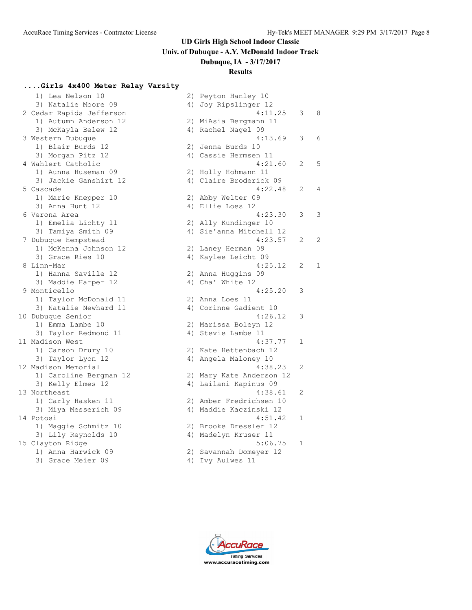**Univ. of Dubuque - A.Y. McDonald Indoor Track**

## **Dubuque, IA - 3/17/2017**

## **Results**

#### **....Girls 4x400 Meter Relay Varsity**

| 1) Lea Nelson 10         | 2) Peyton Hanley 10      |              |              |
|--------------------------|--------------------------|--------------|--------------|
| 3) Natalie Moore 09      | 4) Joy Ripslinger 12     |              |              |
| 2 Cedar Rapids Jefferson | 4:11.25                  | 3            | 8            |
| 1) Autumn Anderson 12    | 2) MiAsia Bergmann 11    |              |              |
| 3) McKayla Belew 12      | 4) Rachel Nagel 09       |              |              |
| 3 Western Dubuque        | 4:13.69                  | 3            | 6            |
| 1) Blair Burds 12        | 2) Jenna Burds 10        |              |              |
| 3) Morgan Pitz 12        | 4) Cassie Hermsen 11     |              |              |
| 4 Wahlert Catholic       | 4:21.60                  | 2            | 5            |
| 1) Aunna Huseman 09      | 2) Holly Hohmann 11      |              |              |
| 3) Jackie Ganshirt 12    | 4) Claire Broderick 09   |              |              |
| 5 Cascade                | 4:22.48                  | 2            | 4            |
| 1) Marie Knepper 10      | 2) Abby Welter 09        |              |              |
| 3) Anna Hunt 12          | 4) Ellie Loes 12         |              |              |
| 6 Verona Area            | 4:23.30                  | 3            | 3            |
| 1) Emelia Lichty 11      | 2) Ally Kundinger 10     |              |              |
| 3) Tamiya Smith 09       | 4) Sie'anna Mitchell 12  |              |              |
| 7 Dubuque Hempstead      | 4:23.57                  | 2            | 2            |
| 1) McKenna Johnson 12    | 2) Laney Herman 09       |              |              |
| 3) Grace Ries 10         | 4) Kaylee Leicht 09      |              |              |
| 8 Linn-Mar               | 4:25.12                  | 2            | $\mathbf{1}$ |
| 1) Hanna Saville 12      | 2) Anna Huggins 09       |              |              |
| 3) Maddie Harper 12      | 4) Cha' White 12         |              |              |
| 9 Monticello             | 4:25.20                  | 3            |              |
| 1) Taylor McDonald 11    | 2) Anna Loes 11          |              |              |
| 3) Natalie Newhard 11    | 4) Corinne Gadient 10    |              |              |
| 10 Dubuque Senior        | 4:26.12                  | 3            |              |
| 1) Emma Lambe 10         | 2) Marissa Boleyn 12     |              |              |
| 3) Taylor Redmond 11     | 4) Stevie Lambe 11       |              |              |
| 11 Madison West          | 4:37.77                  | $\mathbf{1}$ |              |
| 1) Carson Drury 10       | 2) Kate Hettenbach 12    |              |              |
| 3) Taylor Lyon 12        | 4) Angela Maloney 10     |              |              |
| 12 Madison Memorial      | 4:38.23                  | 2            |              |
| 1) Caroline Bergman 12   | 2) Mary Kate Anderson 12 |              |              |
| 3) Kelly Elmes 12        | 4) Lailani Kapinus 09    |              |              |
| 13 Northeast             | 4:38.61                  | 2            |              |
| 1) Carly Hasken 11       | 2) Amber Fredrichsen 10  |              |              |
| 3) Miya Messerich 09     | 4) Maddie Kaczinski 12   |              |              |
| 14 Potosi                | 4:51.42                  | 1            |              |
| 1) Maggie Schmitz 10     | 2) Brooke Dressler 12    |              |              |
| 3) Lily Reynolds 10      | 4) Madelyn Kruser 11     |              |              |
| 15 Clayton Ridge         | 5:06.75                  | $\mathbf 1$  |              |
| 1) Anna Harwick 09       | 2) Savannah Domeyer 12   |              |              |
| 3) Grace Meier 09        | 4) Ivy Aulwes 11         |              |              |

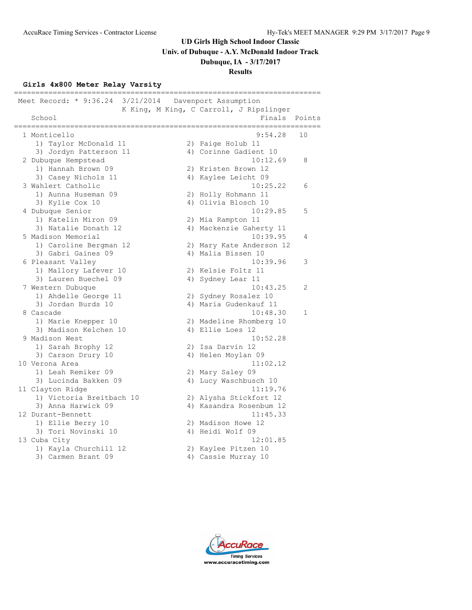**Univ. of Dubuque - A.Y. McDonald Indoor Track**

**Dubuque, IA - 3/17/2017**

### **Results**

#### **Girls 4x800 Meter Relay Varsity**

| Meet Record: * 9:36.24                    |  | ===========<br>3/21/2014 Davenport Assumption     |        |
|-------------------------------------------|--|---------------------------------------------------|--------|
| School<br>______________<br>------------- |  | K King, M King, C Carroll, J Ripslinger<br>Finals | Points |
| 1 Monticello                              |  | 9:54.28                                           | 10     |
| 1) Taylor McDonald 11                     |  | 2) Paige Holub 11                                 |        |
| 3) Jordyn Patterson 11                    |  | 4) Corinne Gadient 10                             |        |
| 2 Dubuque Hempstead                       |  | 10:12.69                                          | 8      |
| 1) Hannah Brown 09                        |  | 2) Kristen Brown 12                               |        |
| 3) Casey Nichols 11                       |  | 4) Kaylee Leicht 09                               |        |
| 3 Wahlert Catholic                        |  | 10:25.22                                          | 6      |
| 1) Aunna Huseman 09                       |  | 2) Holly Hohmann 11                               |        |
| 3) Kylie Cox 10                           |  | 4) Olivia Blosch 10                               |        |
| 4 Dubuque Senior                          |  | 10:29.85                                          | 5      |
| 1) Katelin Miron 09                       |  | 2) Mia Rampton 11                                 |        |
| 3) Natalie Donath 12                      |  | 4) Mackenzie Gaherty 11                           |        |
| 5 Madison Memorial                        |  | 10:39.95                                          | 4      |
| 1) Caroline Bergman 12                    |  | 2) Mary Kate Anderson 12                          |        |
| 3) Gabri Gaines 09                        |  | 4) Malia Bissen 10                                |        |
| 6 Pleasant Valley                         |  | 10:39.96                                          | 3      |
| 1) Mallory Lafever 10                     |  | 2) Kelsie Foltz 11                                |        |
| 3) Lauren Buechel 09                      |  | 4) Sydney Lear 11                                 |        |
| 7 Western Dubuque                         |  | 10:43.25                                          | 2      |
| 1) Ahdelle George 11                      |  | 2) Sydney Rosalez 10                              |        |
| 3) Jordan Burds 10                        |  | 4) Maria Gudenkauf 11                             |        |
| 8 Cascade                                 |  | 10:48.30                                          | 1      |
| 1) Marie Knepper 10                       |  | 2) Madeline Rhomberg 10                           |        |
| 3) Madison Kelchen 10                     |  | 4) Ellie Loes 12                                  |        |
| 9 Madison West                            |  | 10:52.28                                          |        |
| 1) Sarah Brophy 12                        |  | 2) Isa Darvin 12                                  |        |
| 3) Carson Drury 10                        |  | 4) Helen Moylan 09                                |        |
| 10 Verona Area                            |  | 11:02.12                                          |        |
| 1) Leah Remiker 09                        |  | 2) Mary Saley 09                                  |        |
| 3) Lucinda Bakken 09                      |  | 4) Lucy Waschbusch 10                             |        |
| 11 Clayton Ridge                          |  | 11:19.76                                          |        |
| 1) Victoria Breitbach 10                  |  | 2) Alysha Stickfort 12                            |        |
| 3) Anna Harwick 09                        |  | 4) Kasandra Rosenbum 12                           |        |
| 12 Durant-Bennett                         |  | 11:45.33                                          |        |
| 1) Ellie Berry 10                         |  | 2) Madison Howe 12                                |        |
| 3) Tori Novinski 10                       |  | 4) Heidi Wolf 09                                  |        |
| 13 Cuba City                              |  | 12:01.85                                          |        |
| 1) Kayla Churchill 12                     |  | 2) Kaylee Pitzen 10                               |        |
| 3) Carmen Brant 09                        |  | 4) Cassie Murray 10                               |        |

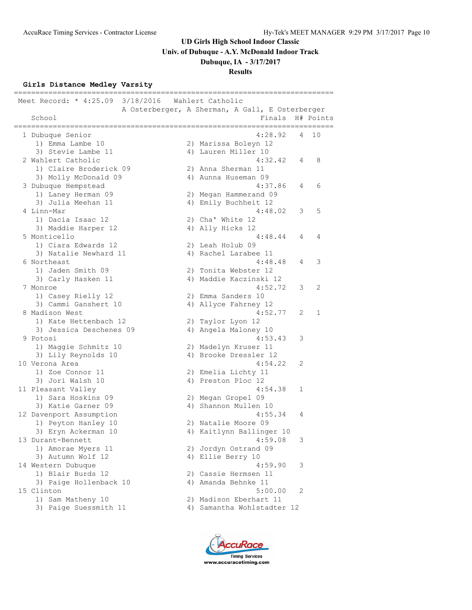**Univ. of Dubuque - A.Y. McDonald Indoor Track**

## **Dubuque, IA - 3/17/2017**

#### **Results**

## **Girls Distance Medley Varsity**

| Meet Record: * 4:25.09 3/18/2016 |  | Wahlert Catholic                                          |   |           |
|----------------------------------|--|-----------------------------------------------------------|---|-----------|
| School                           |  | A Osterberger, A Sherman, A Gall, E Osterberger<br>Finals |   | H# Points |
| --------------                   |  | ---------                                                 |   |           |
| 1 Dubuque Senior                 |  | 4:28.92                                                   | 4 | 10        |
| 1) Emma Lambe 10                 |  | 2) Marissa Boleyn 12                                      |   |           |
| 3) Stevie Lambe 11               |  | 4) Lauren Miller 10                                       |   |           |
| 2 Wahlert Catholic               |  | 4:32.42                                                   | 4 | 8         |
| 1) Claire Broderick 09           |  | 2) Anna Sherman 11                                        |   |           |
| 3) Molly McDonald 09             |  | 4) Aunna Huseman 09                                       |   |           |
| 3 Dubuque Hempstead              |  | 4:37.86                                                   | 4 | 6         |
| 1) Laney Herman 09               |  | 2) Megan Hammerand 09                                     |   |           |
| 3) Julia Meehan 11               |  | 4) Emily Buchheit 12                                      |   |           |
| 4 Linn-Mar                       |  | 4:48.02                                                   | 3 | 5         |
| 1) Dacia Isaac 12                |  | 2) Cha' White 12                                          |   |           |
| 3) Maddie Harper 12              |  | 4) Ally Hicks 12                                          |   |           |
| 5 Monticello                     |  | 4:48.44                                                   | 4 | 4         |
| 1) Ciara Edwards 12              |  | 2) Leah Holub 09                                          |   |           |
| 3) Natalie Newhard 11            |  | 4) Rachel Larabee 11                                      |   |           |
| 6 Northeast                      |  | 4:48.48                                                   | 4 | 3         |
| 1) Jaden Smith 09                |  | 2) Tonita Webster 12                                      |   |           |
| 3) Carly Hasken 11               |  | 4) Maddie Kaczinski 12                                    |   |           |
| 7 Monroe                         |  | 4:52.72                                                   | 3 | 2         |
| 1) Casey Rielly 12               |  | 2) Emma Sanders 10                                        |   |           |
| 3) Cammi Ganshert 10             |  | 4) Allyce Fahrney 12                                      |   |           |
| 8 Madison West                   |  | 4:52.77                                                   | 2 | 1         |
| 1) Kate Hettenbach 12            |  | 2) Taylor Lyon 12                                         |   |           |
| 3) Jessica Deschenes 09          |  | 4) Angela Maloney 10                                      |   |           |
| 9 Potosi                         |  | 4:53.43                                                   | 3 |           |
| 1) Maggie Schmitz 10             |  | 2) Madelyn Kruser 11                                      |   |           |
| 3) Lily Reynolds 10              |  | 4) Brooke Dressler 12                                     |   |           |
| 10 Verona Area                   |  | 4:54.22                                                   | 2 |           |
| 1) Zoe Connor 11                 |  | 2) Emelia Lichty 11                                       |   |           |
| 3) Jori Walsh 10                 |  | 4) Preston Ploc 12                                        |   |           |
| 11 Pleasant Valley               |  | 4:54.38                                                   | 1 |           |
| 1) Sara Hoskins 09               |  | 2) Megan Gropel 09                                        |   |           |
| 3) Katie Garner 09               |  | 4) Shannon Mullen 10                                      |   |           |
| 12 Davenport Assumption          |  | 4:55.34                                                   | 4 |           |
| 1) Peyton Hanley 10              |  | 2) Natalie Moore 09                                       |   |           |
| 3) Eryn Ackerman 10              |  | 4) Kaitlynn Ballinger 10                                  |   |           |
| 13 Durant-Bennett                |  | 4:59.08                                                   | 3 |           |
| 1) Amorae Myers 11               |  | 2) Jordyn Ostrand 09                                      |   |           |
| 3) Autumn Wolf 12                |  | 4) Ellie Berry 10                                         |   |           |
| 14 Western Dubuque               |  | 4:59.90                                                   | 3 |           |
| 1) Blair Burds 12                |  | 2) Cassie Hermsen 11                                      |   |           |
| 3) Paige Hollenback 10           |  | 4) Amanda Behnke 11                                       |   |           |
| 15 Clinton                       |  | 5:00.00                                                   | 2 |           |
| 1) Sam Matheny 10                |  | 2) Madison Eberhart 11                                    |   |           |
| 3) Paige Suessmith 11            |  | 4) Samantha Wohlstadter 12                                |   |           |

ccuRace **Timing Services** www.accuracetiming.com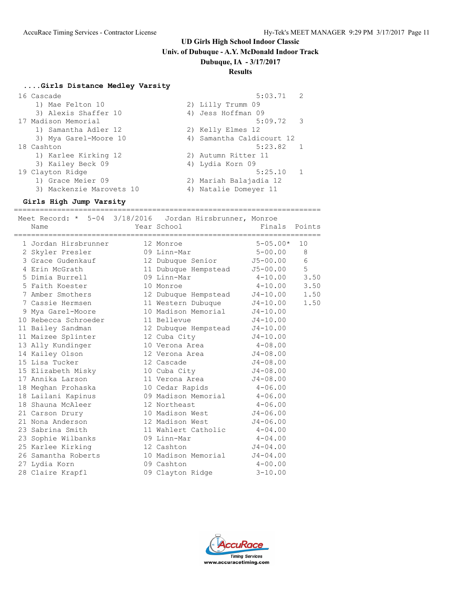**Univ. of Dubuque - A.Y. McDonald Indoor Track**

#### **Dubuque, IA - 3/17/2017**

#### **Results**

#### **....Girls Distance Medley Varsity**

| 16 Cascade               | $5:03.71$ 2               |  |
|--------------------------|---------------------------|--|
| 1) Mae Felton 10         | 2) Lilly Trumm 09         |  |
| 3) Alexis Shaffer 10     | 4) Jess Hoffman 09        |  |
| 17 Madison Memorial      | 5:09.72 3                 |  |
| 1) Samantha Adler 12     | 2) Kelly Elmes 12         |  |
| 3) Mya Garel-Moore 10    | 4) Samantha Caldicourt 12 |  |
| 18 Cashton               | 5:23.82 1                 |  |
| 1) Karlee Kirking 12     | 2) Autumn Ritter 11       |  |
| 3) Kailey Beck 09        | 4) Lydia Korn 09          |  |
| 19 Clayton Ridge         | 5:25.10                   |  |
| 1) Grace Meier 09        | 2) Mariah Balajadia 12    |  |
| 3) Mackenzie Marovets 10 | 4) Natalie Domeyer 11     |  |
|                          |                           |  |

#### **Girls High Jump Varsity**

======================================================================= Meet Record: \* 5-04 3/18/2016 Jordan Hirsbrunner, Monroe

| Name                                | $\frac{1}{2}$ $\frac{1}{2}$ $\frac{1}{2}$ $\frac{1}{2}$ $\frac{1}{2}$ $\frac{1}{2}$ $\frac{1}{2}$ $\frac{1}{2}$ $\frac{1}{2}$ $\frac{1}{2}$ $\frac{1}{2}$ $\frac{1}{2}$ $\frac{1}{2}$ $\frac{1}{2}$ $\frac{1}{2}$ $\frac{1}{2}$ $\frac{1}{2}$ $\frac{1}{2}$ $\frac{1}{2}$ $\frac{1}{2}$ $\frac{1}{2}$ $\frac{1}{2}$<br>Year School Near | Finals Points |                 |
|-------------------------------------|-----------------------------------------------------------------------------------------------------------------------------------------------------------------------------------------------------------------------------------------------------------------------------------------------------------------------------------------|---------------|-----------------|
| 1 Jordan Hirsbrunner 12 Monroe      |                                                                                                                                                                                                                                                                                                                                         | $5 - 05.00*$  | 10 <sup>°</sup> |
| 2 Skyler Presler 199 Linn-Mar       |                                                                                                                                                                                                                                                                                                                                         | $5 - 00.00$   | 8               |
| 3 Grace Gudenkauf                   | 12 Dubuque Senior J5-00.00                                                                                                                                                                                                                                                                                                              |               | 6               |
| 4 Erin McGrath                      | 11 Dubuque Hempstead                                                                                                                                                                                                                                                                                                                    | J5-00.00      | 5               |
| 5 Dimia Burrell                     | 09 Linn-Mar                                                                                                                                                                                                                                                                                                                             | $4 - 10.00$   | 3.50            |
| 5 Faith Koester                     | 10 Monroe                                                                                                                                                                                                                                                                                                                               | $4 - 10.00$   | 3.50            |
| 7 Amber Smothers                    | 12 Dubuque Hempstead                                                                                                                                                                                                                                                                                                                    | $J4 - 10.00$  | 1.50            |
| 7 Cassie Hermsen                    | 11 Western Dubuque                                                                                                                                                                                                                                                                                                                      | $J4 - 10.00$  | 1.50            |
| 9 Mya Garel-Moore                   | 10 Madison Memorial                                                                                                                                                                                                                                                                                                                     | $J4 - 10.00$  |                 |
| 10 Rebecca Schroeder                | 11 Bellevue                                                                                                                                                                                                                                                                                                                             | $J4 - 10.00$  |                 |
| 11 Bailey Sandman                   | 12 Dubuque Hempstead                                                                                                                                                                                                                                                                                                                    | $J4 - 10.00$  |                 |
| 11 Maizee Splinter                  | 12 Cuba City                                                                                                                                                                                                                                                                                                                            | $J4 - 10.00$  |                 |
| 13 Ally Kundinger                   | 10 Verona Area 4-08.00                                                                                                                                                                                                                                                                                                                  |               |                 |
| 14 Kailey Olson                     | 12 Verona Area                                                                                                                                                                                                                                                                                                                          | $J4 - 08.00$  |                 |
| 15 Lisa Tucker                      | 12 Cascade                                                                                                                                                                                                                                                                                                                              | $J4-08.00$    |                 |
| 15 Elizabeth Misky                  | 10 Cuba City                                                                                                                                                                                                                                                                                                                            | $J4 - 08.00$  |                 |
| 17 Annika Larson                    | 11 Verona Area 54-08.00                                                                                                                                                                                                                                                                                                                 |               |                 |
| 18 Meghan Prohaska (10 Cedar Rapids |                                                                                                                                                                                                                                                                                                                                         | $4 - 06.00$   |                 |
|                                     | 18 Lailani Kapinus (09 Madison Memorial (4-06.00)                                                                                                                                                                                                                                                                                       |               |                 |
| 18 Shauna McAleer                   | 12 Northeast                                                                                                                                                                                                                                                                                                                            | $4 - 06.00$   |                 |
|                                     | 21 Carson Drury 10 Madison West                                                                                                                                                                                                                                                                                                         | $J4 - 06.00$  |                 |
| 21 Nona Anderson                    | 12 Madison West                                                                                                                                                                                                                                                                                                                         | $J4 - 06.00$  |                 |
| 23 Sabrina Smith                    | 11 Wahlert Catholic 4-04.00                                                                                                                                                                                                                                                                                                             |               |                 |
| 23 Sophie Wilbanks                  | 09 Linn-Mar                                                                                                                                                                                                                                                                                                                             | $4 - 04.00$   |                 |
| 25 Karlee Kirking                   | 12 Cashton                                                                                                                                                                                                                                                                                                                              | $J4 - 04.00$  |                 |
| 26 Samantha Roberts                 | 10 Madison Memorial                                                                                                                                                                                                                                                                                                                     | $J4 - 04.00$  |                 |
| 27 Lydia Korn                       | 09 Cashton                                                                                                                                                                                                                                                                                                                              | $4 - 00.00$   |                 |
| 28 Claire Krapfl                    | 09 Clayton Ridge                                                                                                                                                                                                                                                                                                                        | $3 - 10.00$   |                 |

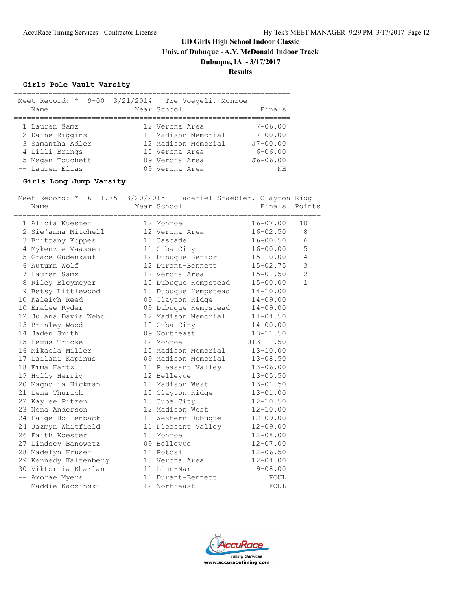**Univ. of Dubuque - A.Y. McDonald Indoor Track**

**Dubuque, IA - 3/17/2017**

**Results**

#### **Girls Pole Vault Varsity**

| Meet Record: * 9-00 3/21/2014 Tre Voegeli, Monroe<br>Name | Year School         | Finals       |
|-----------------------------------------------------------|---------------------|--------------|
|                                                           |                     |              |
|                                                           |                     |              |
| 1 Lauren Samz                                             | 12 Verona Area      | $7 - 06.00$  |
| 2 Daine Riggins                                           | 11 Madison Memorial | $7 - 00.00$  |
| 3 Samantha Adler                                          | 12 Madison Memorial | $J7 - 00.00$ |
| 4 Lilli Brings                                            | 10 Verona Area      | $6 - 06.00$  |
| 5 Megan Touchett                                          | 09 Verona Area      | $J6 - 06.00$ |
| -- Lauren Elias                                           | 09 Verona Area      | NΗ           |

#### **Girls Long Jump Varsity**

| Meet Record: * 16-11.75 3/20/2015 Jaderiel Staebler, Clayton Ridg<br>Name | Year School          | Finals        | Points         |
|---------------------------------------------------------------------------|----------------------|---------------|----------------|
| 1 Alicia Kuester                                                          | 12 Monroe            | $16 - 07.00$  | 10             |
| 2 Sie'anna Mitchell                                                       | 12 Verona Area       | $16 - 02.50$  | 8              |
| 3 Brittany Koppes                                                         | 11 Cascade           | $16 - 00.50$  | 6              |
| 4 Mykenzie Vaassen                                                        | 11 Cuba City         | $16 - 00.00$  | 5              |
| 5 Grace Gudenkauf                                                         | 12 Dubuque Senior    | $15 - 10.00$  | 4              |
| 6 Autumn Wolf                                                             | 12 Durant-Bennett    | $15 - 02.75$  | 3              |
| 7 Lauren Samz                                                             | 12 Verona Area       | $15 - 01.50$  | $\overline{2}$ |
| 8 Riley Bleymeyer                                                         | 10 Dubuque Hempstead | $15 - 00.00$  | $\mathbf{1}$   |
| 9 Betsy Littlewood                                                        | 10 Dubuque Hempstead | $14 - 10.00$  |                |
| 10 Kaleigh Reed                                                           | 09 Clayton Ridge     | $14 - 09.00$  |                |
| 10 Emalee Ryder                                                           | 09 Dubuque Hempstead | $14 - 09.00$  |                |
| 12 Julana Davis Webb                                                      | 12 Madison Memorial  | $14 - 04.50$  |                |
| 13 Brinley Wood                                                           | 10 Cuba City         | $14 - 00.00$  |                |
| 14 Jaden Smith                                                            | 09 Northeast         | $13 - 11.50$  |                |
| 15 Lexus Trickel                                                          | 12 Monroe            | $J13 - 11.50$ |                |
| 16 Mikaela Miller                                                         | 10 Madison Memorial  | $13 - 10.00$  |                |
| 17 Lailani Kapinus                                                        | 09 Madison Memorial  | $13 - 08.50$  |                |
| 18 Emma Hartz                                                             | 11 Pleasant Valley   | $13 - 06.00$  |                |
| 19 Holly Herrig                                                           | 12 Bellevue          | $13 - 05.50$  |                |
| 20 Magnolia Hickman                                                       | 11 Madison West      | $13 - 01.50$  |                |
| 21 Lena Thurich                                                           | 10 Clayton Ridge     | $13 - 01.00$  |                |
| 22 Kaylee Pitzen                                                          | 10 Cuba City         | $12 - 10.50$  |                |
| 23 Nona Anderson                                                          | 12 Madison West      | $12 - 10.00$  |                |
| 24 Paige Hollenback                                                       | 10 Western Dubuque   | $12 - 09.00$  |                |
| 24 Jazmyn Whitfield                                                       | 11 Pleasant Valley   | $12 - 09.00$  |                |
| 26 Faith Koester                                                          | 10 Monroe            | $12 - 08.00$  |                |
| 27 Lindsey Banowetz                                                       | 09 Bellevue          | $12 - 07.00$  |                |
| 28 Madelyn Kruser                                                         | 11 Potosi            | $12 - 06.50$  |                |
| 29 Kennedy Kaltenberg                                                     | 10 Verona Area       | $12 - 04.00$  |                |
| 30 Viktoriia Kharlan                                                      | 11 Linn-Mar          | $9 - 08.00$   |                |
| -- Amorae Myers                                                           | 11 Durant-Bennett    | FOUL          |                |
| -- Maddie Kaczinski                                                       | 12 Northeast         | FOUL          |                |

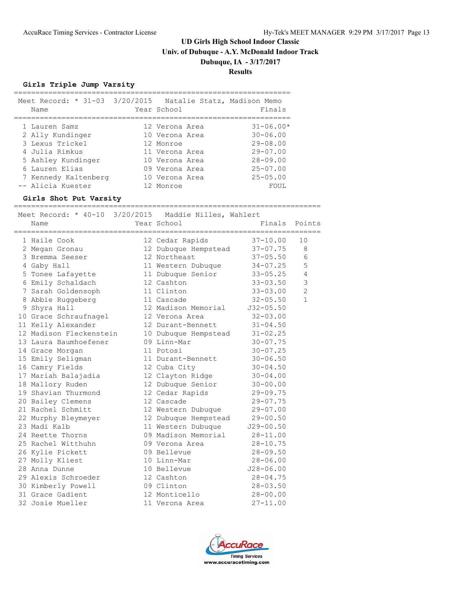**Univ. of Dubuque - A.Y. McDonald Indoor Track**

**Dubuque, IA - 3/17/2017**

## **Results**

#### **Girls Triple Jump Varsity**

| Meet Record: * 31-03 3/20/2015<br>Name | Natalie Statz, Madison Memo<br>Year School | Finals        |
|----------------------------------------|--------------------------------------------|---------------|
| 1 Lauren Samz                          | 12 Verona Area                             | $31 - 06.00*$ |
| 2 Ally Kundinger                       | 10 Verona Area                             | $30 - 06.00$  |
| 3 Lexus Trickel                        | 12 Monroe                                  | $29 - 08.00$  |
| 4 Julia Rimkus                         | 11 Verona Area                             | $29 - 07.00$  |
| 5 Ashley Kundinger                     | 10 Verona Area                             | $28 - 09.00$  |
| 6 Lauren Elias                         | 09 Verona Area                             | $25 - 07.00$  |
| 7 Kennedy Kaltenberg                   | 10 Verona Area                             | $25 - 05.00$  |
| -- Alicia Kuester                      | 12 Monroe                                  | FOUL          |

#### **Girls Shot Put Varsity**

======================================================================= Meet Record: \* 40-10 3/20/2015 Maddie Nilles, Wahlert

| Name                    | Year School          | Finals        | Points         |
|-------------------------|----------------------|---------------|----------------|
| 1 Haile Cook            | 12 Cedar Rapids      | $37 - 10.00$  | 10             |
| 2 Megan Gronau          | 12 Dubuque Hempstead | $37 - 07.75$  | 8              |
| 3 Bremma Seeser         | 12 Northeast         | $37 - 05.50$  | 6              |
| 4 Gaby Hall             | 11 Western Dubuque   | 34-07.25      | 5              |
| 5 Tonee Lafayette       | 11 Dubuque Senior    | $33 - 05.25$  | $\overline{4}$ |
| 6 Emily Schaldach       | 12 Cashton           | $33 - 03.50$  | $\mathsf 3$    |
| 7 Sarah Goldensoph      | 11 Clinton           | $33 - 03.00$  | $\overline{2}$ |
| 8 Abbie Ruggeberg       | 11 Cascade           | $32 - 05.50$  | $\mathbf{1}$   |
| 9 Shyra Hall            | 12 Madison Memorial  | $J32 - 05.50$ |                |
| 10 Grace Schraufnagel   | 12 Verona Area       | $32 - 03.00$  |                |
| 11 Kelly Alexander      | 12 Durant-Bennett    | $31 - 04.50$  |                |
| 12 Madison Fleckenstein | 10 Dubuque Hempstead | $31 - 02.25$  |                |
| 13 Laura Baumhoefener   | 09 Linn-Mar          | $30 - 07.75$  |                |
| 14 Grace Morgan         | 11 Potosi            | $30 - 07.25$  |                |
| 15 Emily Seligman       | 11 Durant-Bennett    | $30 - 06.50$  |                |
| 16 Camry Fields         | 12 Cuba City         | $30 - 04.50$  |                |
| 17 Mariah Balajadia     | 12 Clayton Ridge     | $30 - 04.00$  |                |
| 18 Mallory Ruden        | 12 Dubuque Senior    | $30 - 00.00$  |                |
| 19 Shavian Thurmond     | 12 Cedar Rapids      | $29 - 09.75$  |                |
| 20 Bailey Clemens       | 12 Cascade           | $29 - 07.75$  |                |
| 21 Rachel Schmitt       | 12 Western Dubuque   | $29 - 07.00$  |                |
| 22 Murphy Bleymeyer     | 12 Dubuque Hempstead | $29 - 00.50$  |                |
| 23 Madi Kalb            | 11 Western Dubuque   | $J29 - 00.50$ |                |
| 24 Reette Thorns        | 09 Madison Memorial  | $28 - 11.00$  |                |
| 25 Rachel Witthuhn      | 09 Verona Area       | $28 - 10.75$  |                |
| 26 Kylie Pickett        | 09 Bellevue          | $28 - 09.50$  |                |
| 27 Molly Kliest         | 10 Linn-Mar          | $28 - 06.00$  |                |
| 28 Anna Dunne           | 10 Bellevue          | $J28 - 06.00$ |                |
| 29 Alexis Schroeder     | 12 Cashton           | $28 - 04.75$  |                |
| 30 Kimberly Powell      | 09 Clinton           | $28 - 03.50$  |                |
| 31 Grace Gadient        | 12 Monticello        | $28 - 00.00$  |                |
| 32 Josie Mueller        | 11 Verona Area       | $27 - 11.00$  |                |

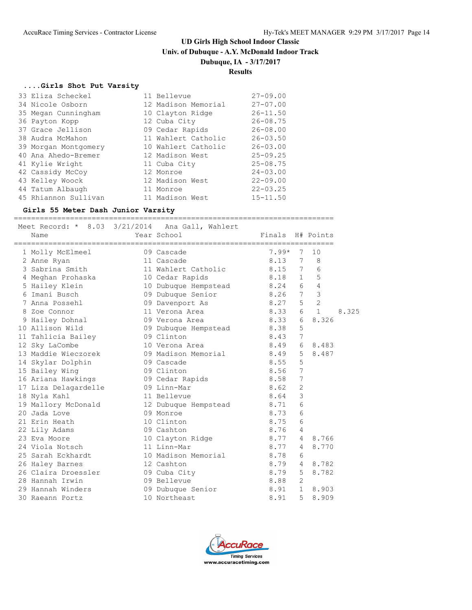## **UD Girls High School Indoor Classic Univ. of Dubuque - A.Y. McDonald Indoor Track**

# **Dubuque, IA - 3/17/2017**

## **Results**

#### **....Girls Shot Put Varsity**

| 33 Eliza Scheckel    | 11 Bellevue         | $27 - 09.00$ |
|----------------------|---------------------|--------------|
| 34 Nicole Osborn     | 12 Madison Memorial | $27 - 07.00$ |
| 35 Megan Cunningham  | 10 Clayton Ridge    | $26 - 11.50$ |
| 36 Payton Kopp       | 12 Cuba City        | $26 - 08.75$ |
| 37 Grace Jellison    | 09 Cedar Rapids     | $26 - 08.00$ |
| 38 Audra McMahon     | 11 Wahlert Catholic | $26 - 03.50$ |
| 39 Morgan Montgomery | 10 Wahlert Catholic | $26 - 03.00$ |
| 40 Ana Ahedo-Bremer  | 12 Madison West     | $25 - 09.25$ |
| 41 Kylie Wright      | 11 Cuba City        | $25 - 08.75$ |
| 42 Cassidy McCoy     | 12 Monroe           | $24 - 03.00$ |
| 43 Kelley Woock      | 12 Madison West     | $22 - 09.00$ |
| 44 Tatum Albaugh     | 11 Monroe           | $22 - 03.25$ |
| 45 Rhiannon Sullivan | 11 Madison West     | $15 - 11.50$ |

#### **Girls 55 Meter Dash Junior Varsity**

==========================================================================

|                     | $7.99*$                                                                                                                                                                                                                                                                                                                                                                                                                                                                 | 7                                                                                                                                                                        | 10                                                                        |                  |
|---------------------|-------------------------------------------------------------------------------------------------------------------------------------------------------------------------------------------------------------------------------------------------------------------------------------------------------------------------------------------------------------------------------------------------------------------------------------------------------------------------|--------------------------------------------------------------------------------------------------------------------------------------------------------------------------|---------------------------------------------------------------------------|------------------|
|                     |                                                                                                                                                                                                                                                                                                                                                                                                                                                                         | 7                                                                                                                                                                        | 8                                                                         |                  |
|                     |                                                                                                                                                                                                                                                                                                                                                                                                                                                                         | 7                                                                                                                                                                        | 6                                                                         |                  |
| 4 Meghan Prohaska   | 8.18                                                                                                                                                                                                                                                                                                                                                                                                                                                                    | $\mathbf{1}$                                                                                                                                                             | 5                                                                         |                  |
|                     |                                                                                                                                                                                                                                                                                                                                                                                                                                                                         | 6                                                                                                                                                                        | $\overline{4}$                                                            |                  |
|                     |                                                                                                                                                                                                                                                                                                                                                                                                                                                                         | 7                                                                                                                                                                        | 3                                                                         |                  |
|                     |                                                                                                                                                                                                                                                                                                                                                                                                                                                                         | 5                                                                                                                                                                        | $\overline{2}$                                                            |                  |
|                     | 8.33                                                                                                                                                                                                                                                                                                                                                                                                                                                                    | 6                                                                                                                                                                        | $\mathbf{1}$                                                              | 8.325            |
|                     | 8.33                                                                                                                                                                                                                                                                                                                                                                                                                                                                    | 6                                                                                                                                                                        | 8.326                                                                     |                  |
|                     |                                                                                                                                                                                                                                                                                                                                                                                                                                                                         | 5                                                                                                                                                                        |                                                                           |                  |
|                     | 8.43                                                                                                                                                                                                                                                                                                                                                                                                                                                                    | 7                                                                                                                                                                        |                                                                           |                  |
|                     | 8.49                                                                                                                                                                                                                                                                                                                                                                                                                                                                    | 6                                                                                                                                                                        | 8.483                                                                     |                  |
| 13 Maddie Wieczorek |                                                                                                                                                                                                                                                                                                                                                                                                                                                                         | 5                                                                                                                                                                        | 8.487                                                                     |                  |
|                     |                                                                                                                                                                                                                                                                                                                                                                                                                                                                         | 5                                                                                                                                                                        |                                                                           |                  |
|                     |                                                                                                                                                                                                                                                                                                                                                                                                                                                                         | 7                                                                                                                                                                        |                                                                           |                  |
|                     |                                                                                                                                                                                                                                                                                                                                                                                                                                                                         | 7                                                                                                                                                                        |                                                                           |                  |
|                     | 8.62                                                                                                                                                                                                                                                                                                                                                                                                                                                                    | $\overline{2}$                                                                                                                                                           |                                                                           |                  |
|                     | 8.64                                                                                                                                                                                                                                                                                                                                                                                                                                                                    | 3                                                                                                                                                                        |                                                                           |                  |
|                     |                                                                                                                                                                                                                                                                                                                                                                                                                                                                         | 6                                                                                                                                                                        |                                                                           |                  |
|                     | 8.73                                                                                                                                                                                                                                                                                                                                                                                                                                                                    | 6                                                                                                                                                                        |                                                                           |                  |
|                     |                                                                                                                                                                                                                                                                                                                                                                                                                                                                         | 6                                                                                                                                                                        |                                                                           |                  |
|                     |                                                                                                                                                                                                                                                                                                                                                                                                                                                                         | 4                                                                                                                                                                        |                                                                           |                  |
|                     |                                                                                                                                                                                                                                                                                                                                                                                                                                                                         | $\overline{4}$                                                                                                                                                           | 8.766                                                                     |                  |
|                     | 8.77                                                                                                                                                                                                                                                                                                                                                                                                                                                                    | 4                                                                                                                                                                        | 8.770                                                                     |                  |
|                     | 8.78                                                                                                                                                                                                                                                                                                                                                                                                                                                                    | 6                                                                                                                                                                        |                                                                           |                  |
|                     | 8.79                                                                                                                                                                                                                                                                                                                                                                                                                                                                    | 4                                                                                                                                                                        | 8.782                                                                     |                  |
| 26 Claira Droessler |                                                                                                                                                                                                                                                                                                                                                                                                                                                                         | 5                                                                                                                                                                        | 8.782                                                                     |                  |
|                     | 8.88                                                                                                                                                                                                                                                                                                                                                                                                                                                                    | 2                                                                                                                                                                        |                                                                           |                  |
|                     | 8.91                                                                                                                                                                                                                                                                                                                                                                                                                                                                    | $\mathbf{1}$                                                                                                                                                             | 8.903                                                                     |                  |
|                     | 8.91                                                                                                                                                                                                                                                                                                                                                                                                                                                                    | 5                                                                                                                                                                        | 8.909                                                                     |                  |
|                     | Meet Record: * 8.03 3/21/2014 Ana Gall, Wahlert<br>Year School<br>09 Cascade<br>11 Cascade<br>11 Wahlert Catholic<br>10 Cedar Rapids<br>09 Dubuque Senior<br>09 Davenport As<br>11 Verona Area<br>09 Verona Area<br>09 Clinton<br>10 Verona Area<br>09 Cascade<br>09 Clinton<br>09 Cedar Rapids<br>09 Linn-Mar<br>11 Bellevue<br>09 Monroe<br>10 Clinton<br>09 Cashton<br>11 Linn-Mar<br>12 Cashton<br>09 Cuba City<br>09 Bellevue<br>09 Dubuque Senior<br>10 Northeast | 8.26<br>09 Dubuque Hempstead 8.38<br>8.49<br>09 Madison Memorial<br>8.55<br>8.56<br>12 Dubuque Hempstead 8.71<br>8.75<br>8.76<br>10 Clayton Ridge<br>10 Madison Memorial | 8.13<br>8.15<br>10 Dubuque Hempstead 8.24<br>8.27<br>8.58<br>8.77<br>8.79 | Finals H# Points |

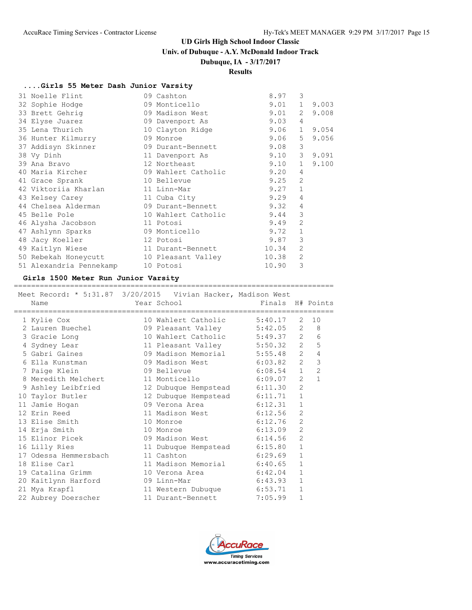**Univ. of Dubuque - A.Y. McDonald Indoor Track**

#### **Dubuque, IA - 3/17/2017**

#### **Results**

#### **....Girls 55 Meter Dash Junior Varsity**

| 31 Noelle Flint                              | 09 Cashton                     | 8.97           | 3              |         |
|----------------------------------------------|--------------------------------|----------------|----------------|---------|
| 32 Sophie Hodge                              | 09 Monticello                  | 9.01           |                | 1 9.003 |
| 33 Brett Gehrig                              | 09 Madison West                | 9.01           | 2              | 9.008   |
| 34 Elyse Juarez                              | 09 Davenport As 5.03           |                | 4              |         |
| 35 Lena Thurich Deriversity of the Second St | 9.06<br>10 Clayton Ridge       |                | $\mathbf{1}$   | 9.054   |
| 36 Hunter Kilmurry                           | 09 Monroe                      | 9.06           | 5              | 9.056   |
| 37 Addisyn Skinner                           | 09 Durant-Bennett              | 9.08           | 3              |         |
| 38 Vy Dinh                                   | 11 Davenport As                | 9.10           |                | 3 9.091 |
| 39 Ana Bravo                                 | $9.10 \quad 1$<br>12 Northeast |                |                | 9.100   |
| 40 Maria Kircher                             | 09 Wahlert Catholic            | 9.20           | $\overline{4}$ |         |
| 41 Grace Sprank                              | 10 Bellevue                    | 9.25           | $\overline{2}$ |         |
| 42 Viktoriia Kharlan                         | 11 Linn-Mar                    | $9.27 \quad 1$ |                |         |
| 43 Kelsey Carey                              | 9.29<br>11 Cuba City           |                | $\overline{4}$ |         |
| 44 Chelsea Alderman                          | 09 Durant-Bennett 9.32         |                | 4              |         |
| 45 Belle Pole                                | 10 Wahlert Catholic            | 9.44           | 3              |         |
| 46 Alysha Jacobson                           | 11 Potosi                      | 9.49           | 2              |         |
| 47 Ashlynn Sparks                            | 09 Monticello                  | 9.72           | $\mathbf{1}$   |         |
| 48 Jacy Koeller                              | 12 Potosi                      | 9.87           | 3              |         |
| 49 Kaitlyn Wiese 11 Durant-Bennett           |                                | 10.34          | 2              |         |
| 50 Rebekah Honeycutt 10 Pleasant Valley      |                                | 10.38          | $\overline{2}$ |         |
| 51 Alexandria Pennekamp                      | 10 Potosi                      | 10.90          | 3              |         |

**Girls 1500 Meter Run Junior Varsity** ========================================================================== Meet Record: \* 5:31.87 3/20/2015 Vivian Hacker, Madison West Name The Year School Finals H# Points ========================================================================== 1 Kylie Cox 10 Wahlert Catholic 5:40.17 2 10 2 Lauren Buechel 09 Pleasant Valley 5:42.05 2 8 3 Gracie Long 10 Wahlert Catholic 5:49.37 2 6 4 Sydney Lear 11 Pleasant Valley 5:50.32 2 5 5 Gabri Gaines 09 Madison Memorial 5:55.48 2 4 6 Ella Kunstman 09 Madison West 6:03.82 2 3 7 Paige Klein 09 Bellevue 6:08.54 1 2 8 Meredith Melchert 11 Monticello 6:09.07 2 1 9 Ashley Leibfried 12 Dubuque Hempstead 6:11.30 2 10 Taylor Butler 12 Dubuque Hempstead 6:11.71 1 11 Jamie Hogan 09 Verona Area 6:12.31 1 12 Erin Reed 11 Madison West 6:12.56 2 13 Elise Smith 10 Monroe 6:12.76 2 14 Erja Smith 10 Monroe 6:13.09 2 15 Elinor Picek 09 Madison West 6:14.56 2 16 Lilly Ries 11 Dubuque Hempstead 6:15.80 1 17 Odessa Hemmersbach 11 Cashton 6:29.69 1 18 Elise Carl 11 Madison Memorial 6:40.65 1 19 Catalina Grimm 10 Verona Area 6:42.04 1 20 Kaitlynn Harford 09 Linn-Mar 6:43.93 1 21 Mya Krapfl 11 Western Dubuque 6:53.71 1 22 Aubrey Doerscher 11 Durant-Bennett 7:05.99 1

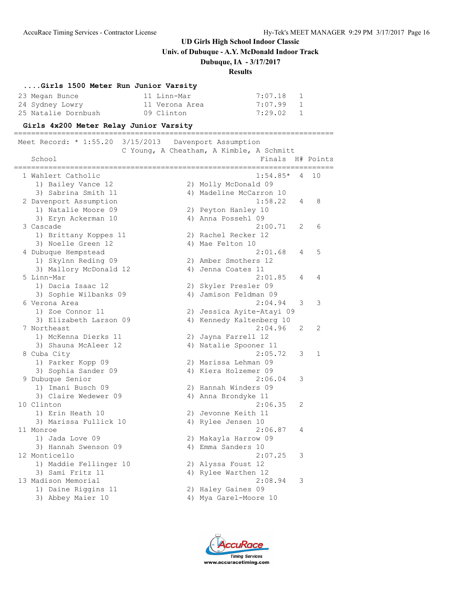**Univ. of Dubuque - A.Y. McDonald Indoor Track**

## **Dubuque, IA - 3/17/2017**

#### **Results**

| Girls 1500 Meter Run Junior Varsity    |                |                                          |   |              |
|----------------------------------------|----------------|------------------------------------------|---|--------------|
| 23 Megan Bunce                         | 11 Linn-Mar    | 7:07.18                                  | 1 |              |
| 24 Sydney Lowry                        | 11 Verona Area | 7:07.99                                  | 1 |              |
| 25 Natalie Dornbush                    | 09 Clinton     | 7:29.02                                  | 1 |              |
| Girls 4x200 Meter Relay Junior Varsity |                |                                          |   |              |
| =====================                  |                |                                          |   |              |
| Meet Record: * 1:55.20                 | 3/15/2013      | Davenport Assumption                     |   |              |
|                                        |                | C Young, A Cheatham, A Kimble, A Schmitt |   |              |
| School                                 |                | Finals                                   |   | H# Points    |
| 1 Wahlert Catholic                     |                | $1:54.85*$                               | 4 | 10           |
| 1) Bailey Vance 12                     |                | 2) Molly McDonald 09                     |   |              |
| 3) Sabrina Smith 11                    |                | 4) Madeline McCarron 10                  |   |              |
| 2 Davenport Assumption                 |                | 1:58.22                                  | 4 | 8            |
| 1) Natalie Moore 09                    |                | 2) Peyton Hanley 10                      |   |              |
| 3) Eryn Ackerman 10                    |                | 4) Anna Possehl 09                       |   |              |
| 3 Cascade                              |                | 2:00.71                                  | 2 | 6            |
| 1) Brittany Koppes 11                  |                | 2) Rachel Recker 12                      |   |              |
| 3) Noelle Green 12                     |                | 4) Mae Felton 10                         |   |              |
| 4 Dubuque Hempstead                    |                | 2:01.68                                  | 4 | 5            |
| 1) Skylnn Reding 09                    |                | 2) Amber Smothers 12                     |   |              |
| 3) Mallory McDonald 12                 |                | 4) Jenna Coates 11                       |   |              |
| 5 Linn-Mar                             |                | 2:01.85                                  | 4 | 4            |
| 1) Dacia Isaac 12                      |                | 2) Skyler Presler 09                     |   |              |
| 3) Sophie Wilbanks 09                  |                | 4) Jamison Feldman 09                    |   |              |
| 6 Verona Area                          |                | 2:04.94                                  | 3 | 3            |
| 1) Zoe Connor 11                       |                | 2) Jessica Ayite-Atayi 09                |   |              |
| 3) Elizabeth Larson 09                 |                | 4) Kennedy Kaltenberg 10                 |   |              |
| 7 Northeast                            |                | 2:04.96                                  | 2 | 2            |
| 1) McKenna Dierks 11                   |                | 2) Jayna Farrell 12                      |   |              |
| 3) Shauna McAleer 12                   |                | 4) Natalie Spooner 11                    |   |              |
| 8 Cuba City                            |                | 2:05.72                                  | 3 | $\mathbf{1}$ |
| 1) Parker Kopp 09                      |                | 2) Marissa Lehman 09                     |   |              |
| 3) Sophia Sander 09                    |                | 4) Kiera Holzemer 09                     |   |              |
| 9 Dubuque Senior                       |                | 2:06.04                                  | 3 |              |
| 1) Imani Busch 09                      |                | 2) Hannah Winders 09                     |   |              |
| 3) Claire Wedewer 09                   |                | 4) Anna Brondyke 11                      |   |              |
| 10 Clinton                             |                | 2:06.35                                  | 2 |              |
| 1) Erin Heath 10                       |                | 2) Jevonne Keith 11                      |   |              |
| 3) Marissa Fullick 10                  |                | 4) Rylee Jensen 10                       |   |              |
| 11 Monroe                              |                | 2:06.87                                  | 4 |              |
| 1) Jada Love 09                        |                | 2) Makayla Harrow 09                     |   |              |
| 3) Hannah Swenson 09                   |                | 4) Emma Sanders 10                       |   |              |
| 12 Monticello                          |                | 2:07.25                                  | 3 |              |
| 1) Maddie Fellinger 10                 |                | 2) Alyssa Foust 12                       |   |              |
| 3) Sami Fritz 11                       |                | 4) Rylee Warthen 12                      |   |              |
| 13 Madison Memorial                    |                | 2:08.94                                  | 3 |              |
| 1) Daine Riggins 11                    |                | 2) Haley Gaines 09                       |   |              |
| 3) Abbey Maier 10                      |                | 4) Mya Garel-Moore 10                    |   |              |

ccuRace **Timing Services** www.accuracetiming.com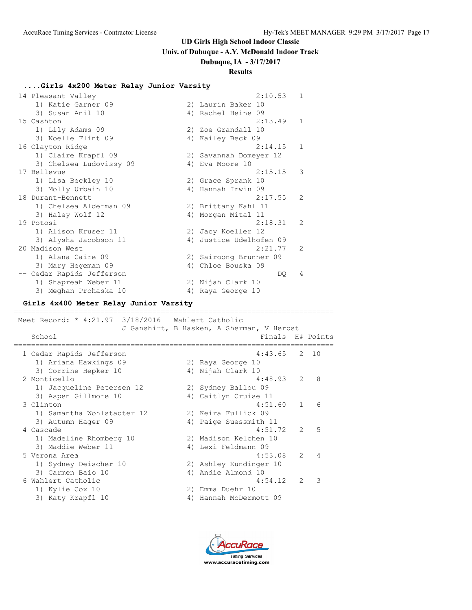#### **Univ. of Dubuque - A.Y. McDonald Indoor Track**

**Dubuque, IA - 3/17/2017**

#### **Results**

#### **....Girls 4x200 Meter Relay Junior Varsity**

| 14 Pleasant Valley      |    | 2:10.53                | $\mathbf{1}$   |
|-------------------------|----|------------------------|----------------|
| 1) Katie Garner 09      |    | 2) Laurin Baker 10     |                |
| 3) Susan Anil 10        |    | 4) Rachel Heine 09     |                |
| 15 Cashton              |    | 2:13.49                | $\mathbf{1}$   |
| 1) Lily Adams 09        |    | 2) Zoe Grandall 10     |                |
| 3) Noelle Flint 09      |    | 4) Kailey Beck 09      |                |
| 16 Clayton Ridge        |    | 2:14.15                | $\mathbf{1}$   |
| 1) Claire Krapfl 09     |    | 2) Savannah Domeyer 12 |                |
| 3) Chelsea Ludovissy 09 |    | 4) Eva Moore 10        |                |
| 17 Bellevue             |    | 2:15.15                | 3              |
| 1) Lisa Beckley 10      |    | 2) Grace Sprank 10     |                |
| 3) Molly Urbain 10      |    | 4) Hannah Irwin 09     |                |
| 18 Durant-Bennett       |    | 2:17.55                | $\mathcal{L}$  |
| 1) Chelsea Alderman 09  |    | 2) Brittany Kahl 11    |                |
| 3) Haley Wolf 12        |    | 4) Morgan Mital 11     |                |
| 19 Potosi               |    | 2:18.31                | $\overline{2}$ |
| 1) Alison Kruser 11     |    | 2) Jacy Koeller 12     |                |
| 3) Alysha Jacobson 11   | 4) | Justice Udelhofen 09   |                |
| 20 Madison West         |    | 2:21.77                | $\mathcal{L}$  |
| 1) Alana Caire 09       |    | 2) Sairoong Brunner 09 |                |
| 3) Mary Hegeman 09      |    | 4) Chloe Bouska 09     |                |
| Cedar Rapids Jefferson  |    | DO.                    | 4              |
| 1) Shapreah Weber 11    |    | 2) Nijah Clark 10      |                |
| 3) Meghan Prohaska 10   |    | 4) Raya George 10      |                |

#### **Girls 4x400 Meter Relay Junior Varsity**

 Meet Record: \* 4:21.97 3/18/2016 Wahlert Catholic J Ganshirt, B Hasken, A Sherman, V Herbst School Finals H# Points ========================================================================== 1 Cedar Rapids Jefferson 1) Ariana Hawkings 09 2) Raya George 10 3) Corrine Hepker 10  $\hskip1cm$  4) Nijah Clark 10 2 Monticello 4:48.93 2 8 1) Jacqueline Petersen 12 2) Sydney Ballou 09 3) Aspen Gillmore 10 (4) Caitlyn Cruise 11 3 Clinton 4:51.60 1 6 1) Samantha Wohlstadter 12 2) Keira Fullick 09 3) Autumn Hager 09 4) Paige Suessmith 11 4 Cascade 4:51.72 2 5 1) Madeline Rhomberg 10 2) Madison Kelchen 10 3) Maddie Weber 11 1988 (4) Lexi Feldmann 09 5 Verona Area 4:53.08 2 4 1) Sydney Deischer 10 2) Ashley Kundinger 10 3) Carmen Baio 10 4) Andie Almond 10 6 Wahlert Catholic 4:54.12 2 3 1) Kylie Cox 10 2) Emma Duehr 10 3) Katy Krapfl 10 4) Hannah McDermott 09

==========================================================================

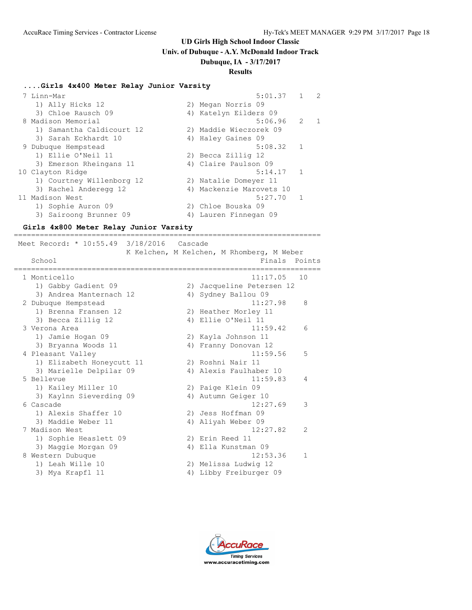**Univ. of Dubuque - A.Y. McDonald Indoor Track**

#### **Dubuque, IA - 3/17/2017**

#### **Results**

#### **....Girls 4x400 Meter Relay Junior Varsity**

| 7 Linn-Mar                | 5:01.37                  |                | 2 |
|---------------------------|--------------------------|----------------|---|
| 1) Ally Hicks 12          | 2) Megan Norris 09       |                |   |
| 3) Chloe Rausch 09        | 4) Katelyn Eilders 09    |                |   |
| 8 Madison Memorial        | 5:06.96                  | 2              |   |
| 1) Samantha Caldicourt 12 | 2) Maddie Wieczorek 09   |                |   |
| 3) Sarah Eckhardt 10      | 4) Haley Gaines 09       |                |   |
| 9 Dubuque Hempstead       | 5:08.32 1                |                |   |
| 1) Ellie O'Neil 11        | 2) Becca Zillig 12       |                |   |
| 3) Emerson Rheingans 11   | 4) Claire Paulson 09     |                |   |
| 10 Clayton Ridge          | $5:14.17$ 1              |                |   |
| 1) Courtney Willenborg 12 | 2) Natalie Domeyer 11    |                |   |
| 3) Rachel Anderegg 12     | 4) Mackenzie Marovets 10 |                |   |
| 11 Madison West           | 5:27.70                  | $\overline{1}$ |   |
| 1) Sophie Auron 09        | 2) Chloe Bouska 09       |                |   |
| 3) Sairoong Brunner 09    | 4) Lauren Finnegan 09    |                |   |

=======================================================================

#### **Girls 4x800 Meter Relay Junior Varsity**

| Meet Record: * 10:55.49 3/18/2016 | Cascade<br>K Kelchen, M Kelchen, M Rhomberg, M Weber |
|-----------------------------------|------------------------------------------------------|
| School                            | Finals Points                                        |
| 1 Monticello                      | 11:17.05<br>10                                       |
| 1) Gabby Gadient 09               | 2) Jacqueline Petersen 12                            |
| 3) Andrea Manternach 12           | 4) Sydney Ballou 09                                  |
| 2 Dubuque Hempstead               | 11:27.98<br>8                                        |
| 1) Brenna Fransen 12              | 2) Heather Morley 11                                 |
| 3) Becca Zillig 12                | 4) Ellie O'Neil 11                                   |
| 3 Verona Area                     | 11:59.42<br>6                                        |
| 1) Jamie Hogan 09                 | 2) Kayla Johnson 11                                  |
| 3) Bryanna Woods 11               | 4) Franny Donovan 12                                 |
| 4 Pleasant Valley                 | 11:59.56<br>5                                        |
| 1) Elizabeth Honeycutt 11         | 2) Roshni Nair 11                                    |
| 3) Marielle Delpilar 09           | 4) Alexis Faulhaber 10                               |
| 5 Bellevue                        | 11:59.83<br>4                                        |
| 1) Kailey Miller 10               | 2) Paige Klein 09                                    |
| 3) Kaylnn Sieverding 09           | 4) Autumn Geiger 10                                  |
| 6 Cascade                         | 12:27.69<br>3                                        |
| 1) Alexis Shaffer 10              | 2) Jess Hoffman 09                                   |
| 3) Maddie Weber 11                | 4) Aliyah Weber 09                                   |
| 7 Madison West                    | 12:27.82<br>$\mathcal{L}$                            |
| 1) Sophie Heaslett 09             | 2) Erin Reed 11                                      |
| 3) Maggie Morgan 09               | 4) Ella Kunstman 09                                  |
| 8 Western Dubuque                 | 12:53.36<br>$\mathbf{1}$                             |
| 1) Leah Wille 10                  | 2) Melissa Ludwig 12                                 |
| 3) Mya Krapfl 11                  | Libby Freiburger 09<br>4)                            |

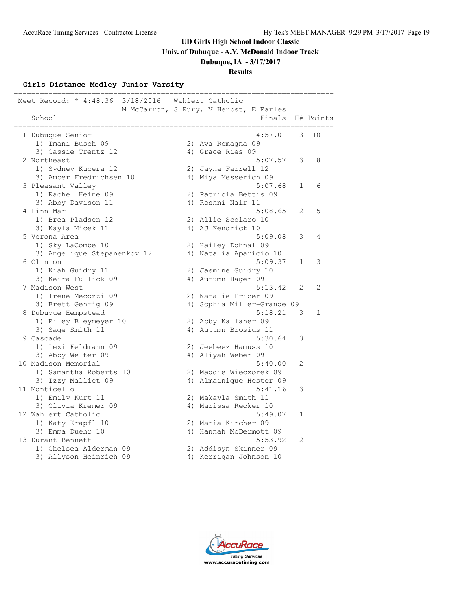**Univ. of Dubuque - A.Y. McDonald Indoor Track**

## **Dubuque, IA - 3/17/2017**

#### **Results**

#### **Girls Distance Medley Junior Varsity**

| Meet Record: * 4:48.36 3/18/2016<br>Wahlert Catholic |                                                  |              |           |  |  |  |  |
|------------------------------------------------------|--------------------------------------------------|--------------|-----------|--|--|--|--|
| School                                               | M McCarron, S Rury, V Herbst, E Earles<br>Finals |              | H# Points |  |  |  |  |
| 1 Dubuque Senior                                     | 4:57.01                                          | 3            | 10        |  |  |  |  |
| 1) Imani Busch 09                                    | 2) Ava Romagna 09                                |              |           |  |  |  |  |
| 3) Cassie Trentz 12                                  | 4) Grace Ries 09                                 |              |           |  |  |  |  |
| 2 Northeast                                          | 5:07.57                                          | 3            | 8         |  |  |  |  |
| 1) Sydney Kucera 12<br>3) Amber Fredrichsen 10       | 2) Jayna Farrell 12<br>4) Miya Messerich 09      |              |           |  |  |  |  |
| 3 Pleasant Valley                                    | 5:07.68                                          | 1            | 6         |  |  |  |  |
| 1) Rachel Heine 09                                   | 2) Patricia Bettis 09                            |              |           |  |  |  |  |
| 3) Abby Davison 11                                   | 4) Roshni Nair 11                                |              |           |  |  |  |  |
| 4 Linn-Mar                                           | 5:08.65                                          | 2            | 5         |  |  |  |  |
| 1) Brea Pladsen 12                                   | 2) Allie Scolaro 10                              |              |           |  |  |  |  |
| 3) Kayla Micek 11                                    | 4) AJ Kendrick 10                                |              |           |  |  |  |  |
| 5 Verona Area                                        | 5:09.08                                          | 3            | 4         |  |  |  |  |
| 1) Sky LaCombe 10                                    | 2) Hailey Dohnal 09                              |              |           |  |  |  |  |
| 3) Angelique Stepanenkov 12                          | 4) Natalia Aparicio 10                           |              |           |  |  |  |  |
| 6 Clinton                                            | 5:09.37                                          | $\mathbf{1}$ | 3         |  |  |  |  |
| 1) Kiah Guidry 11                                    | 2) Jasmine Guidry 10                             |              |           |  |  |  |  |
| 3) Keira Fullick 09                                  | 4) Autumn Hager 09                               |              |           |  |  |  |  |
| 7 Madison West                                       | 5:13.42                                          | 2            | 2         |  |  |  |  |
| 1) Irene Mecozzi 09                                  | 2) Natalie Pricer 09                             |              |           |  |  |  |  |
| 3) Brett Gehrig 09                                   | 4) Sophia Miller-Grande 09                       |              |           |  |  |  |  |
| 8 Dubuque Hempstead                                  | 5:18.21                                          | 3            | 1         |  |  |  |  |
| 1) Riley Bleymeyer 10                                | 2) Abby Kallaher 09                              |              |           |  |  |  |  |
| 3) Sage Smith 11                                     | 4) Autumn Brosius 11                             |              |           |  |  |  |  |
| 9 Cascade                                            | 5:30.64                                          | 3            |           |  |  |  |  |
| 1) Lexi Feldmann 09                                  | 2) Jeebeez Hamuss 10                             |              |           |  |  |  |  |
| 3) Abby Welter 09                                    | 4) Aliyah Weber 09                               |              |           |  |  |  |  |
| 10 Madison Memorial<br>1) Samantha Roberts 10        | 5:40.00<br>2) Maddie Wieczorek 09                | 2            |           |  |  |  |  |
| 3) Izzy Malliet 09                                   | 4) Almainique Hester 09                          |              |           |  |  |  |  |
| 11 Monticello                                        | 5:41.16                                          | 3            |           |  |  |  |  |
| 1) Emily Kurt 11                                     | 2) Makayla Smith 11                              |              |           |  |  |  |  |
| 3) Olivia Kremer 09                                  | 4) Marissa Recker 10                             |              |           |  |  |  |  |
| 12 Wahlert Catholic                                  | 5:49.07                                          | $\mathbf{1}$ |           |  |  |  |  |
| 1) Katy Krapfl 10                                    | 2) Maria Kircher 09                              |              |           |  |  |  |  |
| 3) Emma Duehr 10                                     | 4) Hannah McDermott 09                           |              |           |  |  |  |  |
| 13 Durant-Bennett                                    | 5:53.92                                          | 2            |           |  |  |  |  |
| 1) Chelsea Alderman 09                               | 2) Addisyn Skinner 09                            |              |           |  |  |  |  |
| 3) Allyson Heinrich 09                               | 4) Kerrigan Johnson 10                           |              |           |  |  |  |  |
|                                                      |                                                  |              |           |  |  |  |  |

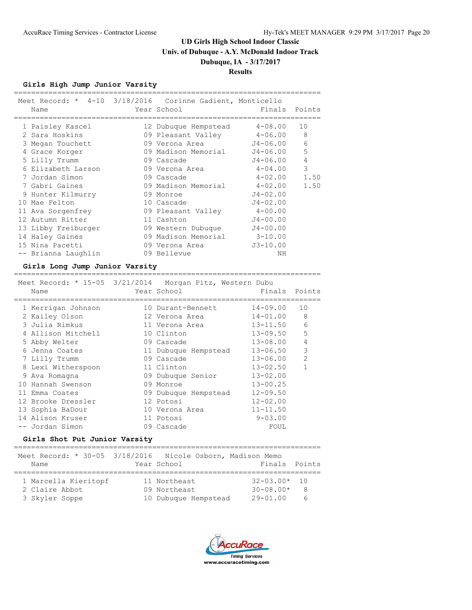**Univ. of Dubuque - A.Y. McDonald Indoor Track**

# **Dubuque, IA - 3/17/2017**

## **Results**

#### **Girls High Jump Junior Varsity**

| Meet Record: * 4-10 3/18/2016  Corinne Gadient, Monticello |                             |               |      |
|------------------------------------------------------------|-----------------------------|---------------|------|
| Name                                                       | Year School                 | Finals Points |      |
|                                                            |                             |               |      |
| 1 Paisley Kascel                                           | 12 Dubuque Hempstead        | $4 - 08.00$   | 10   |
| 2 Sara Hoskins                                             | 09 Pleasant Valley          | $4 - 06.00$   | 8    |
| 3 Megan Touchett                                           | 09 Verona Area              | J4-06.00      | 6    |
| 4 Grace Korger                                             | 09 Madison Memorial         | J4-06.00      | 5    |
| 5 Lilly Trumm                                              | 09 Cascade                  | J4-06.00      | 4    |
| 6 Elizabeth Larson                                         | 09 Verona Area              | $4 - 04.00$   | 3    |
| 7 Jordan Simon                                             | 09 Cascade                  | $4 - 02.00$   | 1.50 |
| 7 Gabri Gaines                                             | 09 Madison Memorial         | $4 - 02$ .00  | 1.50 |
| 9 Hunter Kilmurry                                          | 09 Monroe                   | $J4 - 02.00$  |      |
| 10 Mae Felton                                              | 10 Cascade                  | $J4 - 02.00$  |      |
| 11 Ava Sorgenfrey                                          | 09 Pleasant Valley          | $4 - 00.00$   |      |
| 12 Autumn Ritter                                           | 11 Cashton                  | $J4 - 00.00$  |      |
| 13 Libby Freiburger                                        | 09 Western Dubuque          | $J4 - 00.00$  |      |
| 14 Haley Gaines                                            | 09 Madison Memorial 3-10.00 |               |      |
| 15 Nina Pacetti                                            | 09 Verona Area              | $J3 - 10.00$  |      |
| -- Brianna Laughlin                                        | 09 Bellevue                 | ΝH            |      |

#### **Girls Long Jump Junior Varsity**

| Meet Record: * 15-05 3/21/2014 Morgan Pitz, Western Dubu<br>Name | Year School          | Finals       | Points         |
|------------------------------------------------------------------|----------------------|--------------|----------------|
| 1 Kerrigan Johnson                                               | 10 Durant-Bennett    | 14-09.00     | 10             |
| 2 Kailey Olson                                                   | 12 Verona Area       | $14 - 01.00$ | 8              |
| 3 Julia Rimkus                                                   | 11 Verona Area       | $13 - 11.50$ | 6              |
| 4 Allison Mitchell                                               | 10 Clinton           | $13 - 09.50$ | 5              |
| 5 Abby Welter                                                    | 09 Cascade           | 13-08.00     | $\overline{4}$ |
| 6 Jenna Coates                                                   | 11 Dubuque Hempstead | $13 - 06.50$ | 3              |
| 7 Lilly Trumm                                                    | 09 Cascade           | 13-06.00     | $\overline{2}$ |
| 8 Lexi Witherspoon                                               | 11 Clinton           | $13 - 02.50$ | $\mathbf{1}$   |
| 9 Ava Romagna                                                    | 09 Dubuque Senior    | $13 - 02.00$ |                |
| 10 Hannah Swenson                                                | 09 Monroe            | $13 - 00.25$ |                |
| 11 Emma Coates                                                   | 09 Dubuque Hempstead | $12 - 09.50$ |                |
| 12 Brooke Dressler                                               | 12 Potosi            | $12 - 02.00$ |                |
| 13 Sophia BaDour                                                 | 10 Verona Area       | $11 - 11.50$ |                |
| 14 Alison Kruser                                                 | 11 Potosi            | $9 - 03.00$  |                |
| -- Jordan Simon                                                  | 09 Cascade           | FOUL         |                |

=======================================================================

#### **Girls Shot Put Junior Varsity**

=======================================================================

| Finals Points    |
|------------------|
|                  |
| $32 - 03.00*$ 10 |
| -8               |
| 6                |
|                  |

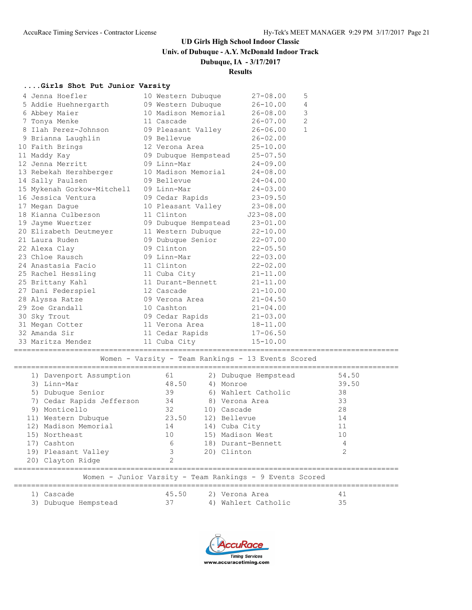**Univ. of Dubuque - A.Y. McDonald Indoor Track**

## **Dubuque, IA - 3/17/2017**

### **Results**

#### **....Girls Shot Put Junior Varsity**

| 4 Jenna Hoefler            | 10 Western Dubuque   | $27 - 08.00$<br>5                                  |       |
|----------------------------|----------------------|----------------------------------------------------|-------|
| 5 Addie Huehnergarth       | 09 Western Dubuque   | $26 - 10.00$<br>4                                  |       |
| 6 Abbey Maier              | 10 Madison Memorial  | $26 - 08.00$<br>3                                  |       |
| 7 Tonya Menke              | 11 Cascade           | $\mathbf{2}$<br>$26 - 07.00$                       |       |
| 8 Ilah Perez-Johnson       | 09 Pleasant Valley   | $\mathbf{1}$<br>$26 - 06.00$                       |       |
| 9 Brianna Laughlin         | 09 Bellevue          | $26 - 02.00$                                       |       |
| 10 Faith Brings            | 12 Verona Area       | $25 - 10.00$                                       |       |
| 11 Maddy Kay               | 09 Dubuque Hempstead | $25 - 07.50$                                       |       |
| 12 Jenna Merritt           | 09 Linn-Mar          | $24 - 09.00$                                       |       |
| 13 Rebekah Hershberger     | 10 Madison Memorial  | $24 - 08.00$                                       |       |
| 14 Sally Paulsen           | 09 Bellevue          | $24 - 04.00$                                       |       |
| 15 Mykenah Gorkow-Mitchell | 09 Linn-Mar          | $24 - 03.00$                                       |       |
| 16 Jessica Ventura         | 09 Cedar Rapids      | $23 - 09.50$                                       |       |
| 17 Megan Dague             | 10 Pleasant Valley   | $23 - 08.00$                                       |       |
| 18 Kianna Culberson        | 11 Clinton           | $J23 - 08.00$                                      |       |
| 19 Jayme Wuertzer          | 09 Dubuque Hempstead | $23 - 01.00$                                       |       |
| 20 Elizabeth Deutmeyer     | 11 Western Dubuque   | $22 - 10.00$                                       |       |
| 21 Laura Ruden             | 09 Dubuque Senior    | $22 - 07.00$                                       |       |
| 22 Alexa Clay              | 09 Clinton           | $22 - 05.50$                                       |       |
| 23 Chloe Rausch            | 09 Linn-Mar          | $22 - 03.00$                                       |       |
| 24 Anastasia Facio         | 11 Clinton           | $22 - 02.00$                                       |       |
| 25 Rachel Hessling         | 11 Cuba City         | $21 - 11.00$                                       |       |
| 25 Brittany Kahl           | 11 Durant-Bennett    | $21 - 11.00$                                       |       |
| 27 Dani Federspiel         | 12 Cascade           | $21 - 10.00$                                       |       |
| 28 Alyssa Ratze            | 09 Verona Area       | $21 - 04.50$                                       |       |
| 29 Zoe Grandall            | 10 Cashton           | $21 - 04.00$                                       |       |
| 30 Sky Trout               | 09 Cedar Rapids      | $21 - 03.00$                                       |       |
| 31 Megan Cotter            | 11 Verona Area       | $18 - 11.00$                                       |       |
| 32 Amanda Sir              | 11 Cedar Rapids      | $17 - 06.50$                                       |       |
| 33 Maritza Mendez          | 11 Cuba City         | $15 - 10.00$                                       |       |
|                            |                      | Women - Varsity - Team Rankings - 13 Events Scored |       |
| 1) Davenport Assumption    | 61                   | 2) Dubuque Hempstead                               | 54.50 |
| 3) Linn-Mar                | 48.50                | 4) Monroe                                          | 39.50 |
| 5) Dubuque Senior          | 39                   | 6) Wahlert Catholic                                | 38    |
| 7) Cedar Rapids Jefferson  | 34                   | 8) Verona Area                                     | 33    |
| 9) Monticello              | 32                   | 10) Cascade                                        | 28    |
| 11) Western Dubuque        | 23.50                | 12) Bellevue                                       | 14    |
|                            |                      |                                                    |       |

 12) Madison Memorial 14 14) Cuba City 11 15) Northeast 10 15) Madison West 10 17) Cashton 6 18) Durant-Bennett 4 19) Pleasant Valley 3 20) Clinton 2 20) Clayton Ridge 20 ========================================================================================= Women - Junior Varsity - Team Rankings - 9 Events Scored =========================================================================================

 1) Cascade 45.50 2) Verona Area 41 3) Dubuque Hempstead 37 4) Wahlert Catholic